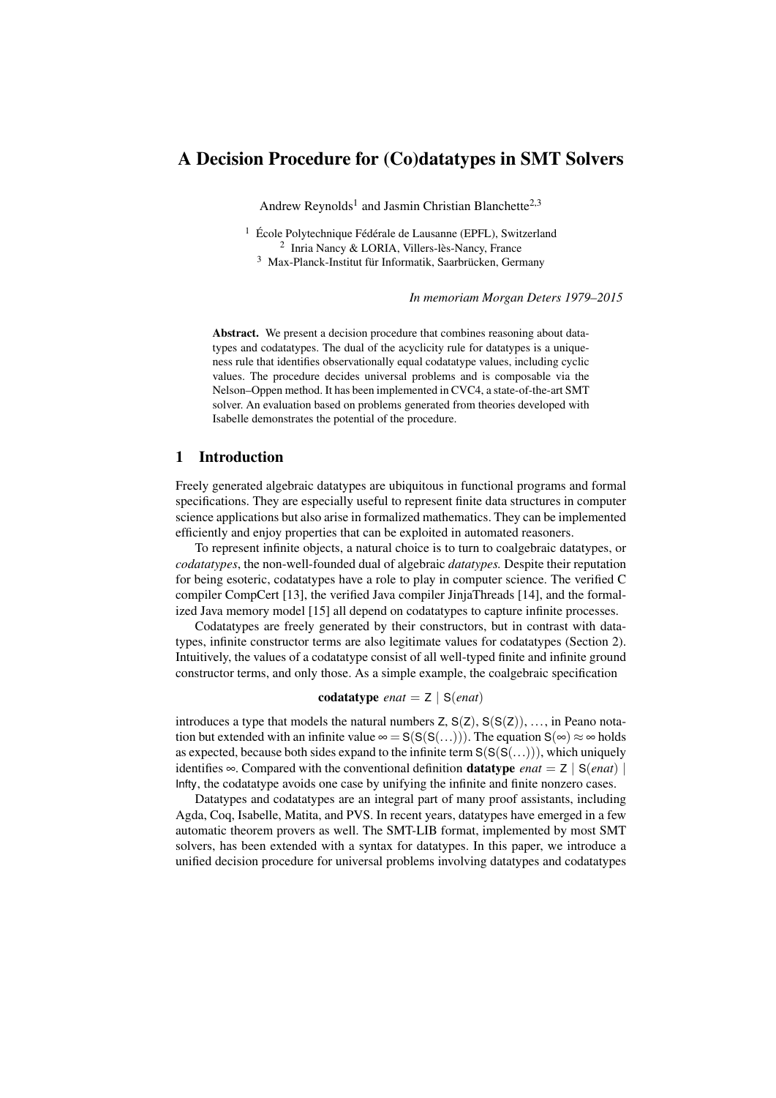# A Decision Procedure for (Co)datatypes in SMT Solvers

Andrew Reynolds<sup>1</sup> and Jasmin Christian Blanchette<sup>2,3</sup>

<sup>1</sup> École Polytechnique Fédérale de Lausanne (EPFL), Switzerland 2 Inria Nancy & LORIA, Villers-lès-Nancy, France <sup>3</sup> Max-Planck-Institut für Informatik, Saarbrücken, Germany

*In memoriam Morgan Deters 1979–2015*

Abstract. We present a decision procedure that combines reasoning about datatypes and codatatypes. The dual of the acyclicity rule for datatypes is a uniqueness rule that identifies observationally equal codatatype values, including cyclic values. The procedure decides universal problems and is composable via the Nelson–Oppen method. It has been implemented in CVC4, a state-of-the-art SMT solver. An evaluation based on problems generated from theories developed with Isabelle demonstrates the potential of the procedure.

# 1 Introduction

Freely generated algebraic datatypes are ubiquitous in functional programs and formal specifications. They are especially useful to represent finite data structures in computer science applications but also arise in formalized mathematics. They can be implemented efficiently and enjoy properties that can be exploited in automated reasoners.

To represent infinite objects, a natural choice is to turn to coalgebraic datatypes, or *codatatypes*, the non-well-founded dual of algebraic *datatypes.* Despite their reputation for being esoteric, codatatypes have a role to play in computer science. The verified C compiler CompCert [\[13\]](#page-14-0), the verified Java compiler JinjaThreads [\[14\]](#page-14-1), and the formalized Java memory model [\[15\]](#page-14-2) all depend on codatatypes to capture infinite processes.

Codatatypes are freely generated by their constructors, but in contrast with datatypes, infinite constructor terms are also legitimate values for codatatypes (Section [2\)](#page-2-0). Intuitively, the values of a codatatype consist of all well-typed finite and infinite ground constructor terms, and only those. As a simple example, the coalgebraic specification

codatatype *enat* = Z | S(*enat*)

introduces a type that models the natural numbers  $Z, S(Z), S(S(Z)), \ldots$ , in Peano notation but extended with an infinite value  $\infty = S(S(S(...)))$ . The equation  $S(\infty) \approx \infty$  holds as expected, because both sides expand to the infinite term  $S(S(S(...)))$ , which uniquely identifies  $\infty$ . Compared with the conventional definition **datatype** *enat* = Z | S(*enat*) | Infty, the codatatype avoids one case by unifying the infinite and finite nonzero cases.

Datatypes and codatatypes are an integral part of many proof assistants, including Agda, Coq, Isabelle, Matita, and PVS. In recent years, datatypes have emerged in a few automatic theorem provers as well. The SMT-LIB format, implemented by most SMT solvers, has been extended with a syntax for datatypes. In this paper, we introduce a unified decision procedure for universal problems involving datatypes and codatatypes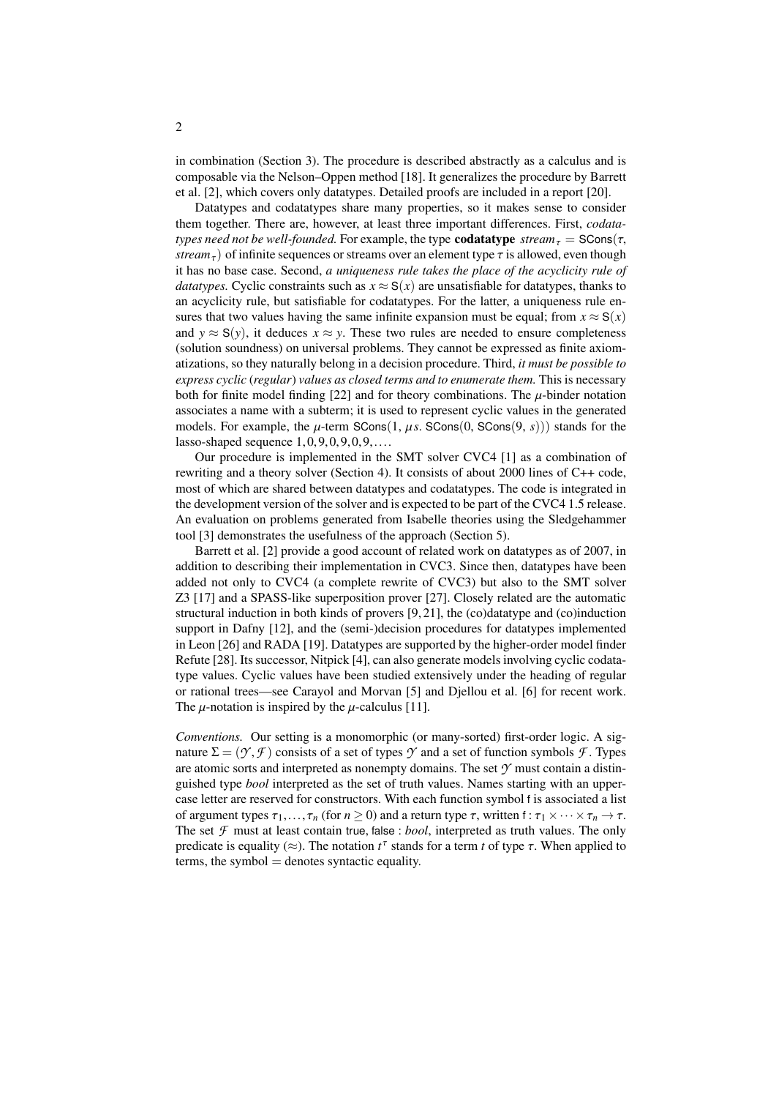in combination (Section [3\)](#page-3-0). The procedure is described abstractly as a calculus and is composable via the Nelson–Oppen method [\[18\]](#page-14-3). It generalizes the procedure by Barrett et al. [\[2\]](#page-13-0), which covers only datatypes. Detailed proofs are included in a report [\[20\]](#page-14-4).

Datatypes and codatatypes share many properties, so it makes sense to consider them together. There are, however, at least three important differences. First, *codatatypes need not be well-founded.* For example, the type **codatatype**  $stream_{\tau} =$  SCons( $\tau$ , *stream*<sub>τ</sub>) of infinite sequences or streams over an element type  $\tau$  is allowed, even though it has no base case. Second, *a uniqueness rule takes the place of the acyclicity rule of datatypes.* Cyclic constraints such as  $x \approx S(x)$  are unsatisfiable for datatypes, thanks to an acyclicity rule, but satisfiable for codatatypes. For the latter, a uniqueness rule ensures that two values having the same infinite expansion must be equal; from  $x \approx S(x)$ and  $y \approx S(y)$ , it deduces  $x \approx y$ . These two rules are needed to ensure completeness (solution soundness) on universal problems. They cannot be expressed as finite axiomatizations, so they naturally belong in a decision procedure. Third, *it must be possible to express cyclic* (*regular*) *values as closed terms and to enumerate them.* This is necessary both for finite model finding [\[22\]](#page-14-5) and for theory combinations. The  $\mu$ -binder notation associates a name with a subterm; it is used to represent cyclic values in the generated models. For example, the  $\mu$ -term SCons $(1, \mu s$ . SCons $(0, \text{SCons}(9, s))$  stands for the lasso-shaped sequence  $1,0,9,0,9,0,9,\ldots$ .

Our procedure is implemented in the SMT solver CVC4 [\[1\]](#page-13-1) as a combination of rewriting and a theory solver (Section [4\)](#page-10-0). It consists of about 2000 lines of C++ code, most of which are shared between datatypes and codatatypes. The code is integrated in the development version of the solver and is expected to be part of the CVC4 1.5 release. An evaluation on problems generated from Isabelle theories using the Sledgehammer tool [\[3\]](#page-13-2) demonstrates the usefulness of the approach (Section [5\)](#page-11-0).

Barrett et al. [\[2\]](#page-13-0) provide a good account of related work on datatypes as of 2007, in addition to describing their implementation in CVC3. Since then, datatypes have been added not only to CVC4 (a complete rewrite of CVC3) but also to the SMT solver Z3 [\[17\]](#page-14-6) and a SPASS-like superposition prover [\[27\]](#page-14-7). Closely related are the automatic structural induction in both kinds of provers [\[9,](#page-14-8) [21\]](#page-14-9), the (co)datatype and (co)induction support in Dafny [\[12\]](#page-14-10), and the (semi-)decision procedures for datatypes implemented in Leon [\[26\]](#page-14-11) and RADA [\[19\]](#page-14-12). Datatypes are supported by the higher-order model finder Refute [\[28\]](#page-14-13). Its successor, Nitpick [\[4\]](#page-13-3), can also generate models involving cyclic codatatype values. Cyclic values have been studied extensively under the heading of regular or rational trees—see Carayol and Morvan [\[5\]](#page-13-4) and Djellou et al. [\[6\]](#page-13-5) for recent work. The  $\mu$ -notation is inspired by the  $\mu$ -calculus [\[11\]](#page-14-14).

*Conventions.* Our setting is a monomorphic (or many-sorted) first-order logic. A signature  $\Sigma = (\mathcal{Y}, \mathcal{F})$  consists of a set of types  $\mathcal{Y}$  and a set of function symbols  $\mathcal{F}$ . Types are atomic sorts and interpreted as nonempty domains. The set *Y* must contain a distinguished type *bool* interpreted as the set of truth values. Names starting with an uppercase letter are reserved for constructors. With each function symbol f is associated a list of argument types  $\tau_1, \ldots, \tau_n$  (for  $n \ge 0$ ) and a return type  $\tau$ , written  $f : \tau_1 \times \cdots \times \tau_n \to \tau$ . The set  $\mathcal F$  must at least contain true, false : *bool*, interpreted as truth values. The only predicate is equality ( $\approx$ ). The notation  $t^{\tau}$  stands for a term *t* of type  $\tau$ . When applied to terms the symbol – denotes syntactic equality  $terms, the symbol = denotes syntactic equality.$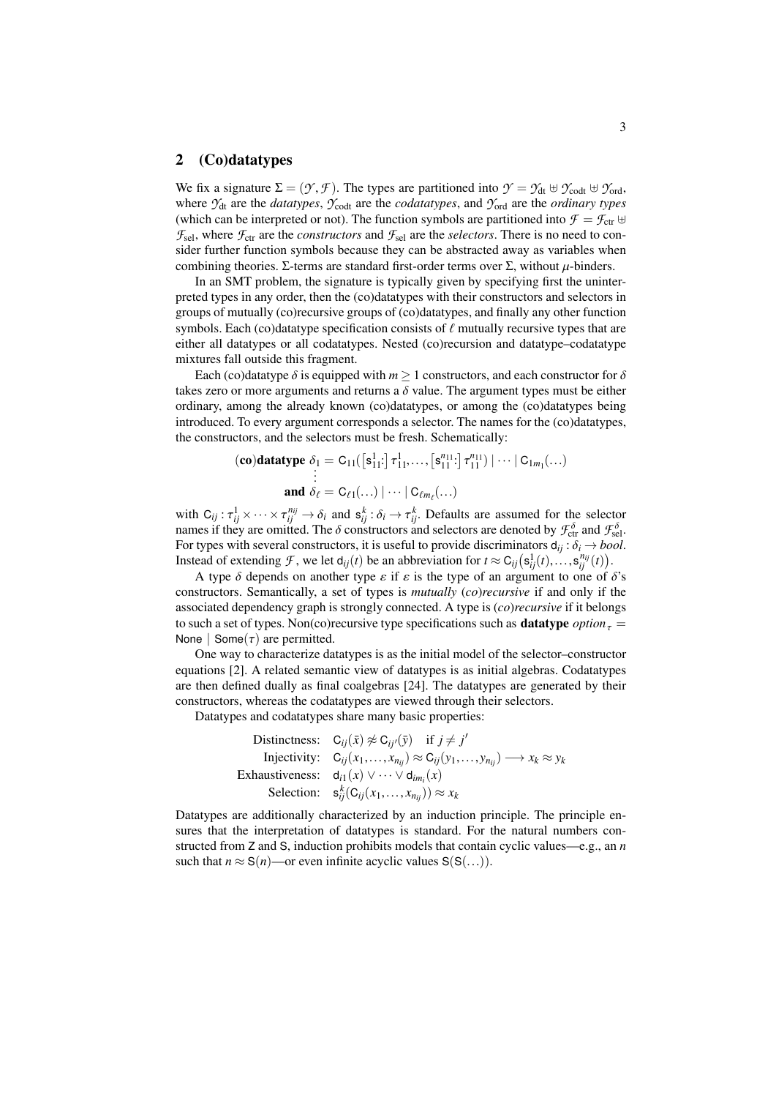#### <span id="page-2-0"></span>2 (Co)datatypes

We fix a signature  $\Sigma = (\mathcal{Y}, \mathcal{F})$ . The types are partitioned into  $\mathcal{Y} = \mathcal{Y}_{dt} \oplus \mathcal{Y}_{cot}$ ,  $\oplus \mathcal{Y}_{cot}$ , where  $\mathcal{Y}_{dt}$  are the *datatypes*,  $\mathcal{Y}_{\text{cod}}$  are the *codatatypes*, and  $\mathcal{Y}_{\text{ord}}$  are the *ordinary types* (which can be interpreted or not). The function symbols are partitioned into  $\mathcal{F} = \mathcal{F}_{ctr} \oplus$  $\mathcal{F}_{\text{sel}}$ , where  $\mathcal{F}_{\text{ctr}}$  are the *constructors* and  $\mathcal{F}_{\text{sel}}$  are the *selectors*. There is no need to consider further function symbols because they can be abstracted away as variables when combining theories. Σ-terms are standard first-order terms over  $\Sigma$ , without *u*-binders.

In an SMT problem, the signature is typically given by specifying first the uninterpreted types in any order, then the (co)datatypes with their constructors and selectors in groups of mutually (co)recursive groups of (co)datatypes, and finally any other function symbols. Each (co)datatype specification consists of  $\ell$  mutually recursive types that are either all datatypes or all codatatypes. Nested (co)recursion and datatype–codatatype mixtures fall outside this fragment.

Each (co)datatype  $\delta$  is equipped with  $m \geq 1$  constructors, and each constructor for  $\delta$ takes zero or more arguments and returns a  $\delta$  value. The argument types must be either ordinary, among the already known (co)datatypes, or among the (co)datatypes being introduced. To every argument corresponds a selector. The names for the (co)datatypes, the constructors, and the selectors must be fresh. Schematically:

$$
(\mathbf{co})\mathbf{datatype} \ \delta_1 = \mathsf{C}_{11}([\mathsf{s}_{11}^1:\mathsf{]} \ \tau_{11}^1,\ldots, [\mathsf{s}_{11}^{n_{11}}:\mathsf{]} \ \tau_{11}^{n_{11}}) \mid \cdots \mid \mathsf{C}_{1m_1}(\ldots) \newline \vdots \newline \mathbf{and} \ \delta_\ell = \mathsf{C}_{\ell 1}(\ldots) \mid \cdots \mid \mathsf{C}_{\ell m_\ell}(\ldots)
$$

with  $C_{ij}: \tau_{ij}^1 \times \cdots \times \tau_{ij}^{n_{ij}} \to \delta_i$  and  $s_{ij}^k: \delta_i \to \tau_{ij}^k$ . Defaults are assumed for the selector pames if they are omitted. The  $\delta$  constructors and selectors are denoted by  $\mathcal{F}^{\delta}$  and  $\mathcal{F}^{\delta}$ . names if they are omitted. The  $\delta$  constructors and selectors are denoted by  $\mathcal{F}_{\text{ct}}^{\delta}$  and  $\mathcal{F}_{\text{self}}^{\delta}$ . For types with several constructors, it is useful to provide discriminators  $d_{ij} : \delta_i \rightarrow bool$ . Instead of extending *F*, we let  $d_{ij}(t)$  be an abbreviation for  $t \approx C_{ij}(s_{ij}^1(t),...,s_{ij}^{n_{ij}}(t))$ .<br>A type  $\delta$  depends on another type  $s$  if  $s$  is the type of an argument to one of

A type  $\delta$  depends on another type  $\varepsilon$  if  $\varepsilon$  is the type of an argument to one of  $\delta$ 's constructors. Semantically, a set of types is *mutually* (*co*)*recursive* if and only if the associated dependency graph is strongly connected. A type is (*co*)*recursive* if it belongs to such a set of types. Non(co)recursive type specifications such as **datatype**  $option_{\tau} =$ None | Some $(\tau)$  are permitted.

One way to characterize datatypes is as the initial model of the selector–constructor equations [\[2\]](#page-13-0). A related semantic view of datatypes is as initial algebras. Codatatypes are then defined dually as final coalgebras [\[24\]](#page-14-15). The datatypes are generated by their constructors, whereas the codatatypes are viewed through their selectors.

Datatypes and codatatypes share many basic properties:

Distinctness:  $C_{ij}(\bar{x}) \not\approx C_{ij}(\bar{y})$  if  $j \neq j'$ Injectivity:  $C_{ij}(x_1,...,x_{n_{ij}}) \approx C_{ij}(y_1,...,y_{n_{ij}}) \longrightarrow x_k \approx y_k$ <br>Exhaustiveness:  $d_{i1}(x) \vee \cdots \vee d_{im_i}(x)$ Selection:  $\mathbf{s}_{ij}^k(C_{ij}(x_1,...,x_{n_{ij}})) \approx x_k$ 

Datatypes are additionally characterized by an induction principle. The principle ensures that the interpretation of datatypes is standard. For the natural numbers constructed from Z and S, induction prohibits models that contain cyclic values—e.g., an *n* such that  $n \approx S(n)$ —or even infinite acyclic values  $S(S(...))$ .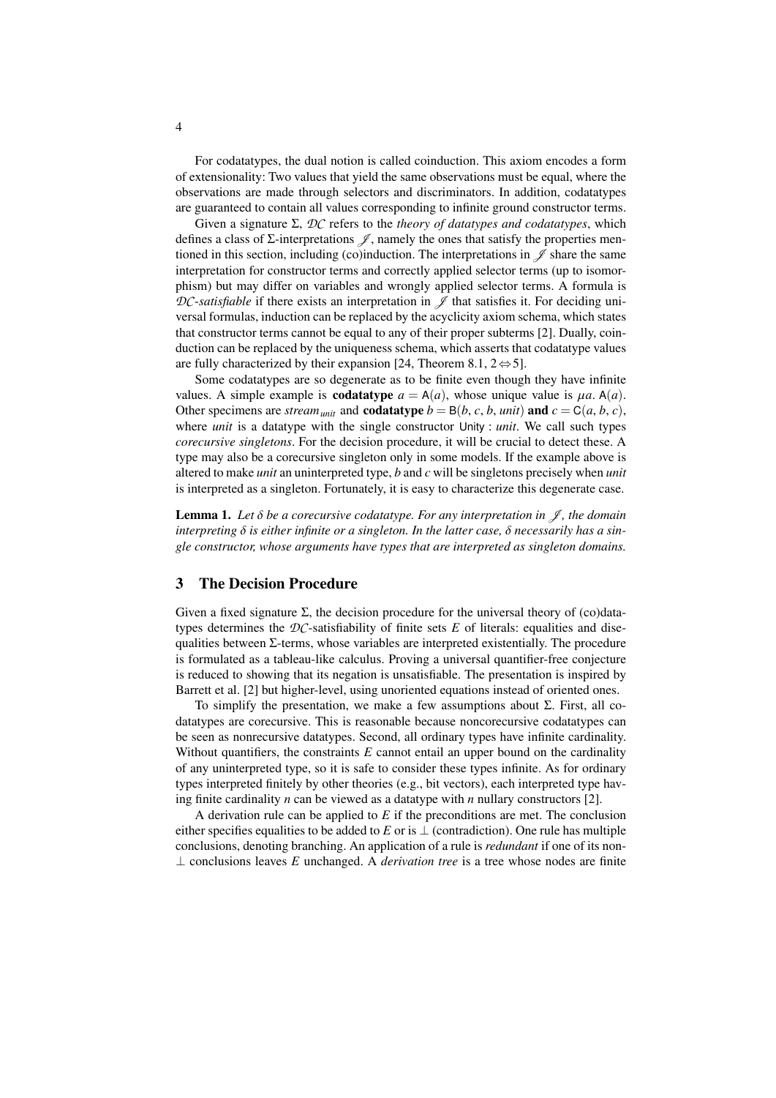For codatatypes, the dual notion is called coinduction. This axiom encodes a form of extensionality: Two values that yield the same observations must be equal, where the observations are made through selectors and discriminators. In addition, codatatypes are guaranteed to contain all values corresponding to infinite ground constructor terms.

Given a signature Σ, *DC* refers to the *theory of datatypes and codatatypes*, which defines a class of  $\Sigma$ -interpretations  $\mathscr{J}$ , namely the ones that satisfy the properties mentioned in this section, including (co)induction. The interpretations in  $\mathscr J$  share the same interpretation for constructor terms and correctly applied selector terms (up to isomorphism) but may differ on variables and wrongly applied selector terms. A formula is *DC*-*satisfiable* if there exists an interpretation in  $\mathscr J$  that satisfies it. For deciding universal formulas, induction can be replaced by the acyclicity axiom schema, which states that constructor terms cannot be equal to any of their proper subterms [\[2\]](#page-13-0). Dually, coinduction can be replaced by the uniqueness schema, which asserts that codatatype values are fully characterized by their expansion [\[24,](#page-14-15) Theorem 8.1,  $2 \Leftrightarrow 5$ ].

Some codatatypes are so degenerate as to be finite even though they have infinite values. A simple example is **codatatype**  $a = A(a)$ , whose unique value is  $\mu a \cdot A(a)$ . Other specimens are *stream*<sub>*unit*</sub> and **codatatype**  $b = B(b, c, b, \text{unit})$  and  $c = C(a, b, c)$ , where *unit* is a datatype with the single constructor Unity : *unit*. We call such types *corecursive singletons*. For the decision procedure, it will be crucial to detect these. A type may also be a corecursive singleton only in some models. If the example above is altered to make *unit* an uninterpreted type, *b* and *c* will be singletons precisely when *unit* is interpreted as a singleton. Fortunately, it is easy to characterize this degenerate case.

**Lemma 1.** Let  $\delta$  be a corecursive codatatype. For any interpretation in  $\mathcal{J}$ , the domain *interpreting* δ *is either infinite or a singleton. In the latter case,* δ *necessarily has a single constructor, whose arguments have types that are interpreted as singleton domains.*

# <span id="page-3-0"></span>3 The Decision Procedure

Given a fixed signature  $\Sigma$ , the decision procedure for the universal theory of (co)datatypes determines the  $DC$ -satisfiability of finite sets  $E$  of literals: equalities and disequalities between  $\Sigma$ -terms, whose variables are interpreted existentially. The procedure is formulated as a tableau-like calculus. Proving a universal quantifier-free conjecture is reduced to showing that its negation is unsatisfiable. The presentation is inspired by Barrett et al. [\[2\]](#page-13-0) but higher-level, using unoriented equations instead of oriented ones.

To simplify the presentation, we make a few assumptions about Σ. First, all codatatypes are corecursive. This is reasonable because noncorecursive codatatypes can be seen as nonrecursive datatypes. Second, all ordinary types have infinite cardinality. Without quantifiers, the constraints *E* cannot entail an upper bound on the cardinality of any uninterpreted type, so it is safe to consider these types infinite. As for ordinary types interpreted finitely by other theories (e.g., bit vectors), each interpreted type having finite cardinality *n* can be viewed as a datatype with *n* nullary constructors [\[2\]](#page-13-0).

A derivation rule can be applied to *E* if the preconditions are met. The conclusion either specifies equalities to be added to *E* or is  $\perp$  (contradiction). One rule has multiple conclusions, denoting branching. An application of a rule is *redundant* if one of its non- ⊥ conclusions leaves *E* unchanged. A *derivation tree* is a tree whose nodes are finite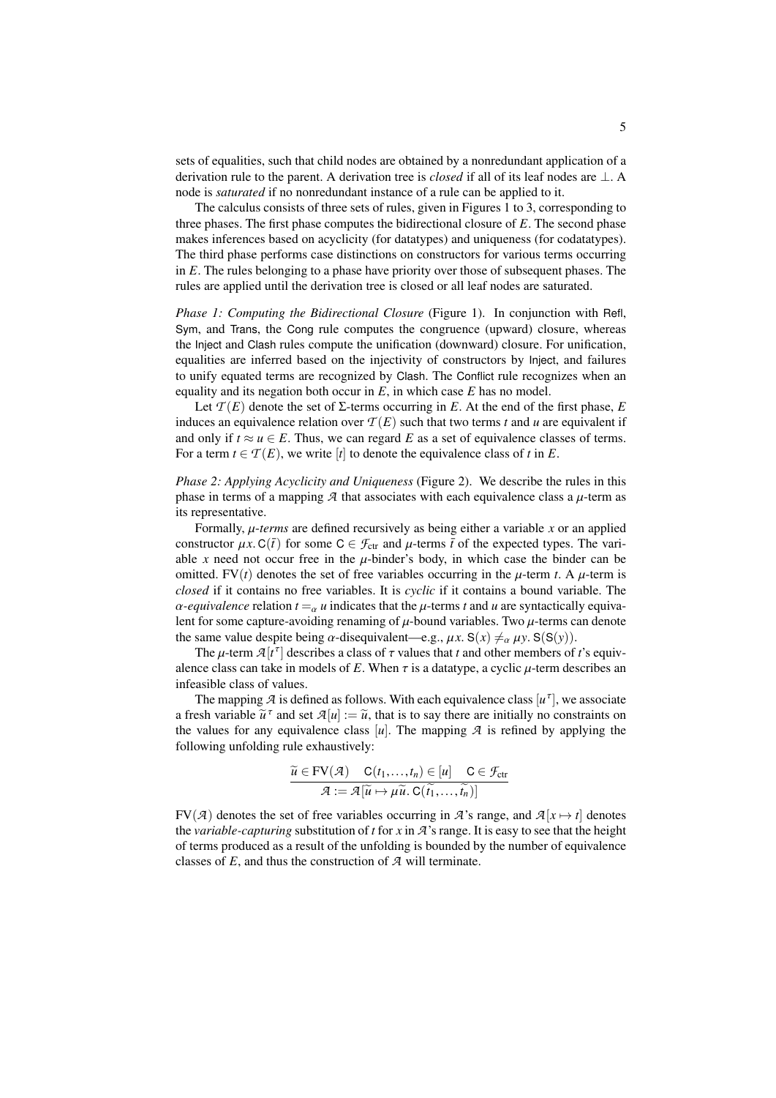sets of equalities, such that child nodes are obtained by a nonredundant application of a derivation rule to the parent. A derivation tree is *closed* if all of its leaf nodes are ⊥. A node is *saturated* if no nonredundant instance of a rule can be applied to it.

The calculus consists of three sets of rules, given in Figures [1](#page-5-0) to [3,](#page-5-1) corresponding to three phases. The first phase computes the bidirectional closure of *E*. The second phase makes inferences based on acyclicity (for datatypes) and uniqueness (for codatatypes). The third phase performs case distinctions on constructors for various terms occurring in *E*. The rules belonging to a phase have priority over those of subsequent phases. The rules are applied until the derivation tree is closed or all leaf nodes are saturated.

*Phase 1: Computing the Bidirectional Closure* (Figure [1\)](#page-5-0). In conjunction with Refl, Sym, and Trans, the Cong rule computes the congruence (upward) closure, whereas the Inject and Clash rules compute the unification (downward) closure. For unification, equalities are inferred based on the injectivity of constructors by Inject, and failures to unify equated terms are recognized by Clash. The Conflict rule recognizes when an equality and its negation both occur in *E*, in which case *E* has no model.

Let  $\mathcal{T}(E)$  denote the set of  $\Sigma$ -terms occurring in *E*. At the end of the first phase, *E* induces an equivalence relation over  $T(E)$  such that two terms *t* and *u* are equivalent if and only if  $t \approx u \in E$ . Thus, we can regard E as a set of equivalence classes of terms. For a term  $t \in \mathcal{T}(E)$ , we write [*t*] to denote the equivalence class of *t* in *E*.

*Phase 2: Applying Acyclicity and Uniqueness* (Figure [2\)](#page-5-2). We describe the rules in this phase in terms of a mapping  $A$  that associates with each equivalence class a  $\mu$ -term as its representative.

Formally, µ-*terms* are defined recursively as being either a variable *<sup>x</sup>* or an applied constructor  $\mu x$ . C( $\bar{t}$ ) for some C  $\in \mathcal{F}_{ctr}$  and  $\mu$ -terms  $\bar{t}$  of the expected types. The variable x need not occur free in the  $\mu$ -binder's body, in which case the binder can be omitted. FV $(t)$  denotes the set of free variables occurring in the  $\mu$ -term *t*. A  $\mu$ -term is *closed* if it contains no free variables. It is *cyclic* if it contains a bound variable. The  $\alpha$ -equivalence relation  $t = \alpha u$  indicates that the  $\mu$ -terms t and u are syntactically equivalent for some capture-avoiding renaming of  $\mu$ -bound variables. Two  $\mu$ -terms can denote the same value despite being  $\alpha$ -disequivalent—e.g.,  $\mu x$ . S( $x$ )  $\neq_{\alpha} \mu y$ . S(S(*y*)).

The  $\mu$ -term  $\mathcal{A}[t^{\tau}]$  describes a class of  $\tau$  values that *t* and other members of *t*'s equiv-<br>local data can take in models of *F*. When  $\tau$  is a data type, a cyclic *u*-term describes an alence class can take in models of E. When  $\tau$  is a datatype, a cyclic  $\mu$ -term describes an infeasible class of values.

The mapping  $\mathcal A$  is defined as follows. With each equivalence class  $[u^\tau]$ , we associate a fresh variable  $\tilde{u}^{\tau}$  and set  $\mathcal{A}[u] := \tilde{u}$ , that is to say there are initially no constraints on the values for any equivalence class [*u*]. The manning  $\mathcal{A}$  is refined by applying the the values for any equivalence class  $|u|$ . The mapping  $\mathcal A$  is refined by applying the following unfolding rule exhaustively:

$$
\widetilde{u} \in \mathrm{FV}(\mathcal{A}) \quad \mathrm{C}(t_1, \ldots, t_n) \in [u] \quad \mathrm{C} \in \mathcal{F}_{\mathrm{ctr}} \\
 \mathcal{A} := \mathcal{A}[\widetilde{u} \mapsto \mu \widetilde{u}, \mathrm{C}(\widetilde{t_1}, \ldots, \widetilde{t_n})]
$$

FV( $\mathcal{A}$ ) denotes the set of free variables occurring in  $\mathcal{A}$ 's range, and  $\mathcal{A}[x \mapsto t]$  denotes the *variable-capturing* substitution of *t* for *x* in *A*'s range. It is easy to see that the height of terms produced as a result of the unfolding is bounded by the number of equivalence classes of *E*, and thus the construction of *A* will terminate.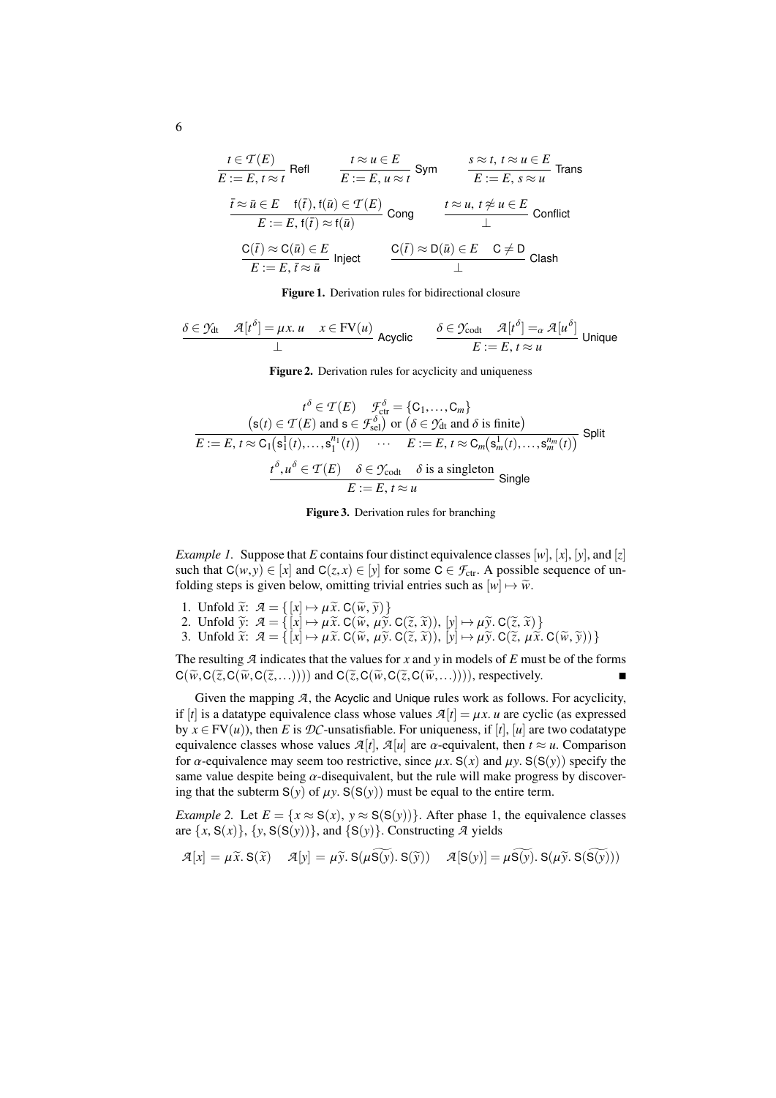$$
\frac{t \in \mathcal{T}(E)}{E := E, t \approx t} \text{ Refl} \qquad \frac{t \approx u \in E}{E := E, u \approx t} \text{ Sym } \qquad \frac{s \approx t, t \approx u \in E}{E := E, s \approx u} \text{ Trans}
$$
\n
$$
\frac{\bar{t} \approx \bar{u} \in E \quad \text{f}(\bar{t}), \text{f}(\bar{u}) \in \mathcal{T}(E)}{E := E, \text{f}(\bar{t}) \approx \text{f}(\bar{u})} \text{ Cong } \qquad \frac{t \approx u, t \not\approx u \in E}{\perp} \text{ Conflict}
$$
\n
$$
\frac{C(\bar{t}) \approx C(\bar{u}) \in E}{E := E, \bar{t} \approx \bar{u}} \text{ Inject} \qquad \frac{C(\bar{t}) \approx D(\bar{u}) \in E \quad C \neq D}{\perp} \text{ Class}
$$

<span id="page-5-0"></span>Figure 1. Derivation rules for bidirectional closure

$$
\frac{\delta \in \mathcal{Y}_{dt} \quad \mathcal{A}[t^{\delta}] = \mu x. u \quad x \in FV(u)}{\perp} \text{ Acyclic} \qquad \frac{\delta \in \mathcal{Y}_{\text{codt}} \quad \mathcal{A}[t^{\delta}] =_{\alpha} \mathcal{A}[u^{\delta}]}{E := E, t \approx u} \text{ Unique}
$$

<span id="page-5-2"></span>Figure 2. Derivation rules for acyclicity and uniqueness

$$
t^{\delta} \in \mathcal{T}(E) \quad \mathcal{F}_{\text{ct}}^{\delta} = \{C_1, \dots, C_m\}
$$
  
\n
$$
s(t) \in \mathcal{T}(E) \text{ and } s \in \mathcal{F}_{\text{sel}}^{\delta} \text{ or } (\delta \in \mathcal{Y}_{\text{dt}} \text{ and } \delta \text{ is finite})
$$
  
\n
$$
E := E, t \approx C_1(s_1^1(t), \dots, s_1^{n_1}(t)) \quad \cdots \quad E := E, t \approx C_m(s_m^1(t), \dots, s_m^{n_m}(t))
$$
Split
$$
\frac{t^{\delta}, u^{\delta} \in \mathcal{T}(E) \quad \delta \in \mathcal{Y}_{\text{codt}} \quad \delta \text{ is a singleton}}{E := E, t \approx u} \text{ Single}
$$

<span id="page-5-1"></span>Figure 3. Derivation rules for branching

*Example 1.* Suppose that *E* contains four distinct equivalence classes  $[w]$ ,  $[x]$ ,  $[y]$ , and  $[z]$ such that  $C(w, y) \in [x]$  and  $C(z, x) \in [y]$  for some  $C \in \mathcal{F}_{ctr}$ . A possible sequence of unfolding steps is given below, omitting trivial entries such as  $[w] \mapsto \widetilde{w}$ .

- 1. Unfold  $\widetilde{x}$ :  $\mathcal{A} = \{ [x] \mapsto \mu \widetilde{x}$ . C( $\widetilde{w}$ ,  $\widetilde{y}$ ) }
- 2. Unfold  $\widetilde{y}$ :  $\mathcal{A} = \{ [x] \mapsto \mu \widetilde{x}$ . C( $\widetilde{w}$ ,  $\mu \widetilde{y}$ . C( $\widetilde{z}$ ,  $\widetilde{x}$ )),  $[y] \mapsto \mu \widetilde{y}$ . C( $\widetilde{z}$ ,  $\widetilde{x}$ )}
- 3. Unfold  $\widetilde{x}$ :  $\mathcal{A} = \{ [x] \mapsto \mu \widetilde{x}$ . C( $\widetilde{w}$ ,  $\mu \widetilde{y}$ . C( $\widetilde{z}$ ,  $\widetilde{x}$ )),  $[y] \mapsto \mu \widetilde{y}$ . C( $\widetilde{z}$ ,  $\mu \widetilde{x}$ . C( $\widetilde{w}$ ,  $\widetilde{y}$ ))}

The resulting *A* indicates that the values for *x* and *y* in models of *E* must be of the forms  $C(\widetilde{w}, C(\widetilde{z}, C(\widetilde{w}, C(\widetilde{z},...))))$  and  $C(\widetilde{z}, C(\widetilde{w}, C(\widetilde{z}, C(\widetilde{w},...))))$ , respectively.

Given the mapping  $A$ , the Acyclic and Unique rules work as follows. For acyclicity, if  $[t]$  is a datatype equivalence class whose values  $\mathcal{A}[t] = \mu x$ . *u* are cyclic (as expressed by  $x \in FV(u)$ , then *E* is *DC*-unsatisfiable. For uniqueness, if [*t*], [*u*] are two codatatype equivalence classes whose values  $\mathcal{A}[t]$ ,  $\mathcal{A}[u]$  are  $\alpha$ -equivalent, then  $t \approx u$ . Comparison for  $\alpha$ -equivalence may seem too restrictive, since  $\mu x$ . S(*x*) and  $\mu y$ . S(S(*y*)) specify the same value despite being  $\alpha$ -disequivalent, but the rule will make progress by discovering that the subterm  $S(y)$  of  $\mu y$ .  $S(S(y))$  must be equal to the entire term.

*Example 2.* Let  $E = \{x \approx S(x), y \approx S(S(y))\}$ . After phase 1, the equivalence classes are  $\{x, S(x)\}, \{y, S(S(y))\},$  and  $\{S(y)\}.$  Constructing *A* yields

$$
\mathcal{A}[x] = \mu \widetilde{x}. \mathbf{S}(\widetilde{x}) \quad \mathcal{A}[y] = \mu \widetilde{y}. \mathbf{S}(\mu \mathbf{S}(\widetilde{y}). \mathbf{S}(\widetilde{y})) \quad \mathcal{A}[\mathbf{S}(y)] = \mu \mathbf{S}(\widetilde{y}). \mathbf{S}(\mu \widetilde{y}. \mathbf{S}(\mathbf{S}(\widetilde{y})))
$$

6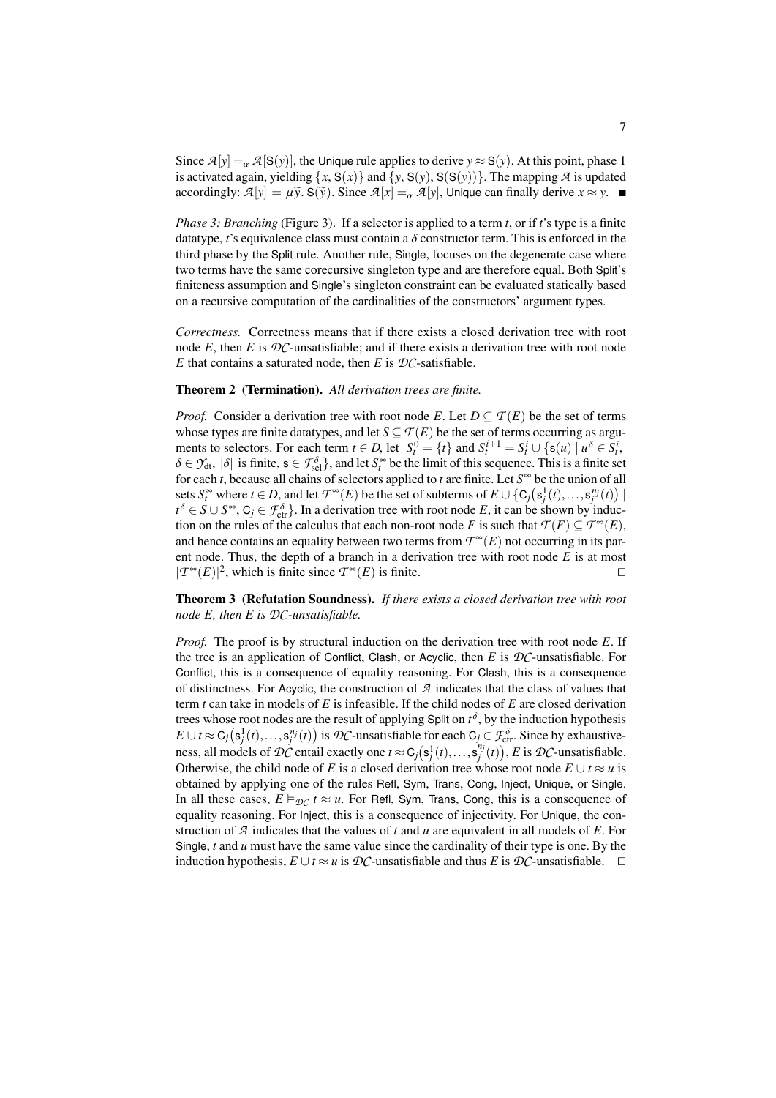Since  $\mathcal{A}[y] = \alpha \mathcal{A}[S(y)]$ , the Unique rule applies to derive  $y \approx S(y)$ . At this point, phase 1 is activated again, yielding  $\{x, S(x)\}$  and  $\{y, S(y), S(S(y))\}$ . The mapping  $\mathcal A$  is updated accordingly:  $\mathcal{A}[y] = \mu \tilde{y}$ . S( $\tilde{y}$ ). Since  $\mathcal{A}[x] = \alpha \mathcal{A}[y]$ , Unique can finally derive  $x \approx y$ .

*Phase 3: Branching* (Figure [3\)](#page-5-1). If a selector is applied to a term *t*, or if *t*'s type is a finite datatype, *t*'s equivalence class must contain a  $\delta$  constructor term. This is enforced in the third phase by the Split rule. Another rule, Single, focuses on the degenerate case where two terms have the same corecursive singleton type and are therefore equal. Both Split's finiteness assumption and Single's singleton constraint can be evaluated statically based on a recursive computation of the cardinalities of the constructors' argument types.

*Correctness.* Correctness means that if there exists a closed derivation tree with root node  $E$ , then  $E$  is  $D\mathcal{C}$ -unsatisfiable; and if there exists a derivation tree with root node *E* that contains a saturated node, then *E* is  $DC$ -satisfiable.

#### <span id="page-6-0"></span>Theorem 2 (Termination). *All derivation trees are finite.*

*Proof.* Consider a derivation tree with root node *E*. Let  $D \subset T(E)$  be the set of terms whose types are finite datatypes, and let  $S \subseteq T(E)$  be the set of terms occurring as arguments to selectors. For each term  $t \in D$ , let  $S_t^0 = \{t\}$  and  $S_t^{i+1} = S_t^i \cup \{s(u) \mid u^\delta \in S_t^i\}$  $\delta \in \mathcal{Y}_{\text{dt}}$ ,  $|\delta|$  is finite,  $s \in \mathcal{F}_{\text{sel}}^{\delta}$ , and let  $S_{\text{t}}^{\infty}$  be the limit of this sequence. This is a finite set<br>for each *t* because all chains of selectors applied to *t* are finite Let  $S^{\infty}$  be t for each *t*, because all chains of selectors applied to *t* are finite. Let *S* <sup>∞</sup> be the union of all sets  $S_i^{\infty}$  where *t* ∈ *D*, and let  $T^{\infty}(E)$  be the set of subterms of  $E \cup \{C_j(s_j^1(t),...,s_j^{n_j}(t)) \mid$ <br>  $t^{\delta} \in S \cup S^{\infty}$  C, ∈  $F^{\delta} \cup$  In a derivation tree with root node *E* it can be shown by induc*t*<sup>δ</sup> ∈ *S* ∪ *S*<sup>∞</sup>, C<sub>*j*</sub> ∈ *F*<sub>ctr</sub><sup>5</sup>. In a derivation tree with root node *E*, it can be shown by induction on the rules of the calculus that each non-root node *E* is such that  $\mathcal{T}(F) \subset \mathcal{T}^{\infty}(F)$ tion on the rules of the calculus that each non-root node *F* is such that  $\mathcal{T}(F) \subseteq \mathcal{T}^{\infty}(E)$ , and hence contains an equality between two terms from  $T^{\infty}(E)$  not occurring in its parent node. Thus, the depth of a branch in a derivation tree with root node *E* is at most  $|T^{\infty}(E)|^2$ , which is finite since  $T^{\infty}(E)$  is finite. □

<span id="page-6-1"></span>Theorem 3 (Refutation Soundness). *If there exists a closed derivation tree with root node E, then E is DC-unsatisfiable.*

*Proof.* The proof is by structural induction on the derivation tree with root node *E*. If the tree is an application of Conflict, Clash, or Acyclic, then *E* is *DC*-unsatisfiable. For Conflict, this is a consequence of equality reasoning. For Clash, this is a consequence of distinctness. For Acyclic, the construction of *A* indicates that the class of values that term *t* can take in models of *E* is infeasible. If the child nodes of *E* are closed derivation trees whose root nodes are the result of applying Split on  $t^{\delta}$ , by the induction hypothesis *E* ∪ *t* ≈ C<sub>*j*</sub>( $\mathbf{s}$ <sup>*j*</sup>),...,  $\mathbf{s}^{n_j}(t)$  is *DC*-unsatisfiable for each C<sub>*j*</sub> ∈  $\mathcal{F}_{\text{ctr}}^{\delta}$ . Since by exhaustive-<br>ness all models of *DC* antail avestly and t ∞ C ( $\mathbf{s}^{1}(t)$ ) and *E* is *DC* unsatis ness, all models of *DC* entail exactly one  $t \approx C_j(s_j^1(t),...,s_j^{n_j}(t)), E$  is *DC*-unsatisfiable. Otherwise, the child node of *E* is a closed derivation tree whose root node  $E \cup t \approx u$  is obtained by applying one of the rules Refl, Sym, Trans, Cong, Inject, Unique, or Single. In all these cases,  $E \vDash_{\mathcal{DC}} t \approx u$ . For Refl, Sym, Trans, Cong, this is a consequence of equality reasoning. For Inject, this is a consequence of injectivity. For Unique, the construction of *A* indicates that the values of *t* and *u* are equivalent in all models of *E*. For Single, *t* and *u* must have the same value since the cardinality of their type is one. By the induction hypothesis,  $E \cup t \approx u$  is  $D$ *C*-unsatisfiable and thus *E* is  $D$ *C*-unsatisfiable. □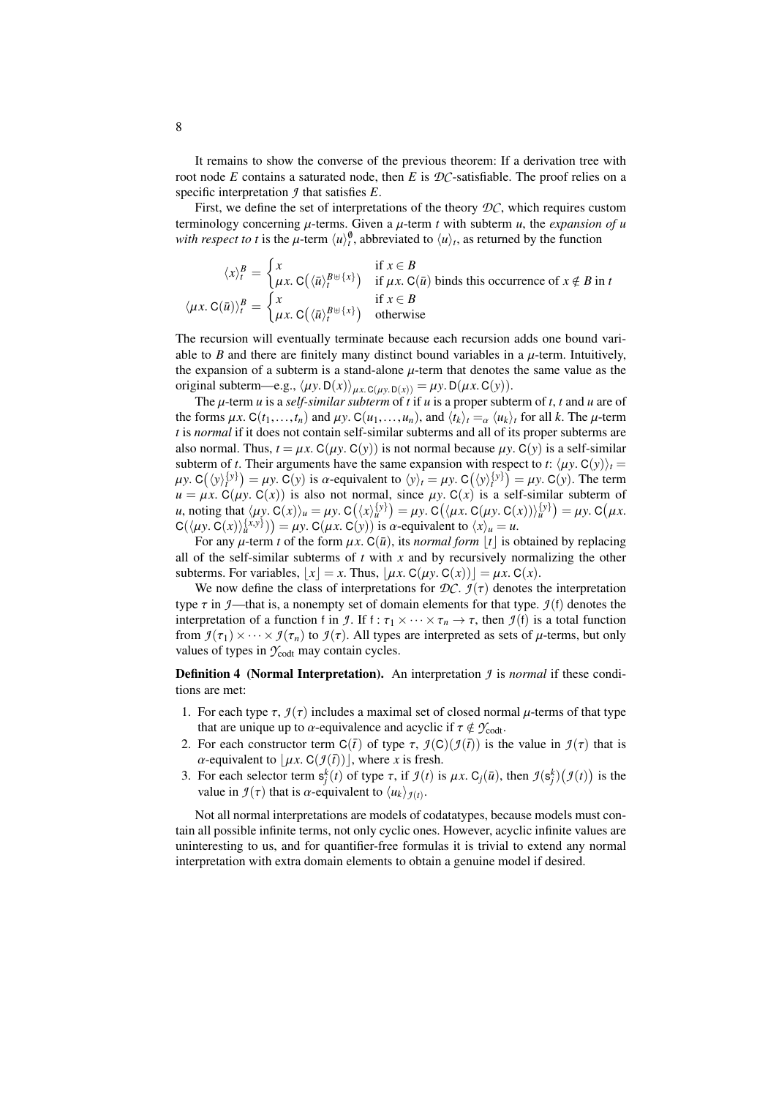It remains to show the converse of the previous theorem: If a derivation tree with root node *E* contains a saturated node, then *E* is *DC*-satisfiable. The proof relies on a specific interpretation *J* that satisfies *E*.

First, we define the set of interpretations of the theory *DC*, which requires custom terminology concerning  $\mu$ -terms. Given a  $\mu$ -term  $t$  with subterm  $u$ , the *expansion of*  $u$ *with respect to t* is the  $\mu$ -term  $\langle u \rangle_t^{\emptyset}$ , abbreviated to  $\langle u \rangle_t$ , as returned by the function

$$
\langle x \rangle_t^B = \begin{cases} x & \text{if } x \in B \\ \mu x. \ C(\langle \bar{u} \rangle_t^{B \cup \{x\}}) & \text{if } \mu x. \ C(\bar{u}) \text{ binds this occurrence of } x \notin B \text{ in } t \\ \mu x. \ C(\bar{u}) \rangle_t^B = \begin{cases} x & \text{if } x \in B \\ \mu x. \ C(\langle \bar{u} \rangle_t^{B \cup \{x\}}) & \text{otherwise} \end{cases}
$$

The recursion will eventually terminate because each recursion adds one bound variable to *B* and there are finitely many distinct bound variables in a  $\mu$ -term. Intuitively, the expansion of a subterm is a stand-alone  $\mu$ -term that denotes the same value as the original subterm—e.g.,  $\langle \mu y. D(x) \rangle_{\mu x. C(\mu y. D(x))} = \mu y. D(\mu x. C(y)).$ 

The µ-term *<sup>u</sup>* is a *self-similar subterm* of *<sup>t</sup>* if *<sup>u</sup>* is a proper subterm of *<sup>t</sup>*, *<sup>t</sup>* and *<sup>u</sup>* are of the forms  $\mu x$ . C( $t_1, \ldots, t_n$ ) and  $\mu y$ . C( $u_1, \ldots, u_n$ ), and  $\langle t_k \rangle_t = \alpha \langle u_k \rangle_t$  for all *k*. The  $\mu$ -term *t* is *normal* if it does not contain self-similar subterms and all of its proper subterms are also normal. Thus,  $t = \mu x$ . C( $\mu y$ . C( $y$ )) is not normal because  $\mu y$ . C( $y$ ) is a self-similar subterm of *t*. Their arguments have the same expansion with respect to *t*:  $\langle \mu y. C(y) \rangle_t =$  $\mu y$ . C( $y$ )<sup>{*y*}</sup> $) = \mu y$ . C(*y*) is a-equivalent to  $\langle y \rangle_t = \mu y$ . C( $\langle y \rangle_t^{\{y\}}$ ) =  $\mu y$ . C(*y*). The term  $\mu - \mu y$ . C( $\mu y$ ) =  $\mu y$ . C( $\mu y$ ) =  $\mu y$ . C( $\mu y$ ) =  $\mu y$ . C( $\mu y$ ) =  $\mu y$ . C( $\mu y$ ) =  $\mu y$ . C( $\mu y$ )  $u = \mu x$ . C( $\mu y$ , C(x)) is also not normal, since  $\mu y$ . C(x) is a self-similar subterm of *u*, noting that  $\langle \mu y, C(x) \rangle_u = \mu y, C(\langle x \rangle_u^{\{y\}}) = \mu y, C(\langle \mu x, C(\mu y, C(x)) \rangle_u^{\{y\}}) = \mu y, C(\mu x, C(\mu y, C(x)))$ <br>  $C(\langle \mu y, C(x) \rangle_{\{x,y\}}^{\{x,y\}}) = \mu y, C(\mu x, C(\mu y), C(\mu y, C(x)))$  $C(\langle \mu y, C(x) \rangle_u^{\{x, y\}}) = \mu y$ .  $C(\mu x, C(y))$  is *a*-equivalent to  $\langle x \rangle_u = u$ .<br>For any *u*-term t of the form  $\mu x, C(\bar{u})$  its normal form |t| is *c* 

For any  $\mu$ -term *t* of the form  $\mu x$ . C( $\bar{u}$ ), its *normal form* |*t*| is obtained by replacing all of the self-similar subterms of  $t$  with  $x$  and by recursively normalizing the other subterms. For variables,  $|x| = x$ . Thus,  $|\mu x$ . C( $\mu y$ . C( $x$ )) $| = \mu x$ . C( $x$ ).

We now define the class of interpretations for  $DC$ .  $\mathcal{I}(\tau)$  denotes the interpretation type  $\tau$  in *J*—that is, a nonempty set of domain elements for that type. *J*(f) denotes the interpretation of a function f in *J*. If f :  $\tau_1 \times \cdots \times \tau_n \to \tau$ , then *J*(f) is a total function from  $\mathcal{I}(\tau_1)\times\cdots\times\mathcal{I}(\tau_n)$  to  $\mathcal{I}(\tau)$ . All types are interpreted as sets of  $\mu$ -terms, but only values of types in  $\mathcal{Y}_{\text{codt}}$  may contain cycles.

Definition 4 (Normal Interpretation). An interpretation *J* is *normal* if these conditions are met:

- 1. For each type  $\tau$ ,  $\mathcal{I}(\tau)$  includes a maximal set of closed normal  $\mu$ -terms of that type that are unique up to  $\alpha$ -equivalence and acyclic if  $\tau \notin \mathcal{Y}_{\text{codt}}$ .
- 2. For each constructor term  $C(\bar{t})$  of type  $\tau$ ,  $\mathcal{I}(C)(\mathcal{I}(\bar{t}))$  is the value in  $\mathcal{I}(\tau)$  that is  $\alpha$ -equivalent to  $\lfloor \mu x \cdot C(\mathcal{I}(\vec{t})) \rfloor$ , where *x* is fresh.
- 3. For each selector term  $s_j^k(t)$  of type  $\tau$ , if  $\mathcal{I}(t)$  is  $\mu x$ . C<sub>j</sub>( $\bar{u}$ ), then  $\mathcal{I}(s_j^k)(\mathcal{I}(t))$  is the value in  $\mathcal{I}(\tau)$  that is  $\alpha$ -equivalent to  $\langle u_k \rangle_{k \geq 0}$ . value in  $\mathcal{I}(\tau)$  that is  $\alpha$ -equivalent to  $\langle u_k \rangle_{\mathcal{I}(t)}$ .

Not all normal interpretations are models of codatatypes, because models must contain all possible infinite terms, not only cyclic ones. However, acyclic infinite values are uninteresting to us, and for quantifier-free formulas it is trivial to extend any normal interpretation with extra domain elements to obtain a genuine model if desired.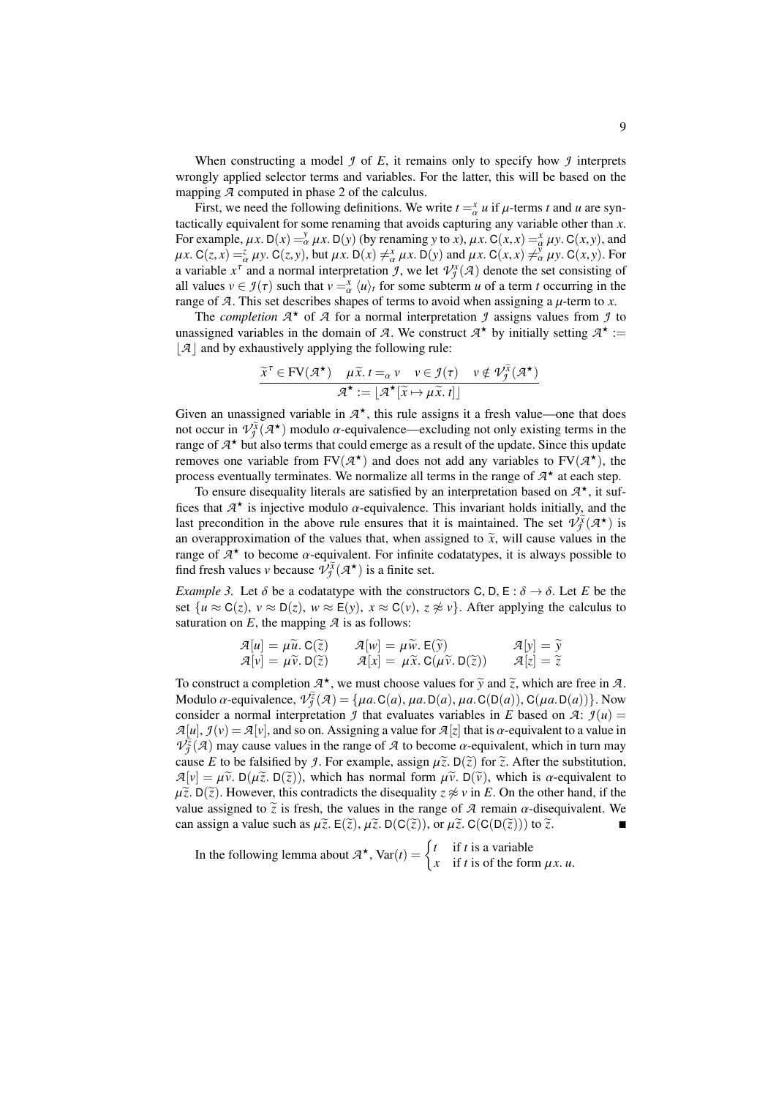When constructing a model  $\mathcal I$  of  $E$ , it remains only to specify how  $\mathcal I$  interprets wrongly applied selector terms and variables. For the latter, this will be based on the mapping *A* computed in phase 2 of the calculus.

First, we need the following definitions. We write  $t = x/d$  *u* if  $\mu$ -terms *t* and *u* are syn-<br>ically equivalent for some renaming that avoids canturing any variable other than *x* tactically equivalent for some renaming that avoids capturing any variable other than *x*. For example,  $\mu x$ . D(*x*) =  $\frac{\partial}{\partial x} \mu x$ . D(*y*) (by renaming *y* to *x*),  $\mu x$ . C(*x*, *x*) =  $\frac{\partial}{\partial y} \mu y$ . C(*x*, *y*), and  $\mu x$  C(*z*, *x*) =  $\frac{\partial}{\partial y} \mu y$ . C(*x*, *x*) =  $\frac{\partial}{\partial y} \mu y$ . C(*x*, *y*) = For  $\mu x. C(z, x) = \frac{z}{\alpha} \mu y. C(z, y)$ , but  $\mu x. D(x) \neq \frac{x}{\alpha} \mu x. D(y)$  and  $\mu x. C(x, x) \neq \frac{y}{\alpha} \mu y. C(x, y)$ . For a variable  $x^{\tau}$  and a normal interpretation *J*, we let  $\mathcal{V}^{\chi}_{\mathcal{J}}(\mathcal{A})$  denote the set consisting of all values  $v \in \mathcal{I}(\tau)$  such that  $v = \frac{x}{\alpha} \langle u \rangle_t$  for some subterm *u* of a term *t* occurring in the range of  $\mathcal{I}$ . This set describes shapes of terms to avoid when assigning a *u*-term to *x* range of *A*. This set describes shapes of terms to avoid when assigning a  $\mu$ -term to *x*.<br>The completion  $\mathcal{A}^*$  of  $\mathcal{A}$  for a normal interpretation  $\mathcal{A}$  assigns values from  $\mathcal{A}$ 

The *completion*  $A^*$  of  $A$  for a normal interpretation  $f$  assigns values from  $f$  to unassigned variables in the domain of *A*. We construct  $A^*$  by initially setting  $A^*$  :=  $|\mathcal{A}|$  and by exhaustively applying the following rule:

$$
\frac{\widetilde{x}^{\tau} \in \text{FV}(\mathcal{A}^{\star}) \quad \mu \widetilde{x}. \, t =_{\alpha} v \quad v \in \mathcal{I}(\tau) \quad v \notin \mathcal{V}_{\mathcal{I}}^{\widetilde{x}}(\mathcal{A}^{\star})}{\mathcal{A}^{\star} := \lfloor \mathcal{A}^{\star}[\widetilde{x} \mapsto \mu \widetilde{x}. \, t] \rfloor}
$$

Given an unassigned variable in  $A^*$ , this rule assigns it a fresh value—one that does not occur in  $V_j^{\tilde{\chi}}(\mathcal{A}^{\star})$  modulo  $\alpha$ -equivalence—excluding not only existing terms in the range of  $\mathcal{A}^{\star}$  but also terms that could emerge as a result of the undate. Since this undate range of  $A^{\star}$  but also terms that could emerge as a result of the update. Since this update removes one variable from  $FV(\mathcal{A}^{\star})$  and does not add any variables to  $FV(\mathcal{A}^{\star})$ , the process eventually terminates. We normalize all terms in the range of  $A^*$  at each step.

To ensure disequality literals are satisfied by an interpretation based on  $A^{\star}$ , it suffices that  $A^*$  is injective modulo  $\alpha$ -equivalence. This invariant holds initially, and the last recondition in the above rule ensures that it is maintained. The set  $\mathcal{D}(\mathcal{X})$  is last precondition in the above rule ensures that it is maintained. The set  $\mathcal{V}^{\tilde{X}}_{\tilde{J}}(\mathcal{A}^{\star})$  is an overapproximation of the values that, when assigned to  $\tilde{x}$ , will cause values in the range of  $\mathcal{A}^*$  to become  $\alpha$ -equivalent. For infinite codatatypes, it is always possible to find fresh values v because  $\mathcal{D}^{\tilde{X}}(\mathcal{A}^*)$  is a finite set find fresh values *v* because  $\mathcal{V}^{\tilde{X}}_{\tilde{\mathcal{I}}}(\mathcal{A}^{\star})$  is a finite set.

*Example 3.* Let  $\delta$  be a codatatype with the constructors C, D, E :  $\delta \rightarrow \delta$ . Let *E* be the set  $\{u \approx C(z), v \approx D(z), w \approx E(y), x \approx C(v), z \not\approx v\}$ . After applying the calculus to saturation on  $E$ , the mapping  $\mathcal A$  is as follows:

$$
\mathcal{A}[u] = \mu \widetilde{u}. \mathbf{C}(\widetilde{z}) \qquad \mathcal{A}[w] = \mu \widetilde{w}. \mathbf{E}(\widetilde{y}) \qquad \mathcal{A}[y] = \widetilde{y} \n\mathcal{A}[v] = \mu \widetilde{v}. \mathbf{D}(\widetilde{z}) \qquad \mathcal{A}[x] = \mu \widetilde{x}. \mathbf{C}(\mu \widetilde{v}. \mathbf{D}(\widetilde{z})) \qquad \mathcal{A}[z] = \widetilde{z}
$$

To construct a completion  $A^*$ , we must choose values for  $\tilde{y}$  and  $\tilde{z}$ , which are free in *A*.<br>Modulo  $\alpha$  aguivalence  $q\tilde{z}(q) - \int u q \Omega(q) u q \Omega(p(q)) q(uq \Omega(q))$ . Modulo  $\alpha$ -equivalence,  $\hat{V}_{\alpha}^{\tilde{g}}(A) = \{\mu a. C(a), \mu a. D(a), \mu a. C(D(a)), C(\mu a. D(a))\}$ . Now consider a normal interpretation *J* that evaluates variables in *E* based on *A*:  $\mathcal{I}(u)$  =  $A[u], f(v) = A[v]$ , and so on. Assigning a value for  $A[z]$  that is  $\alpha$ -equivalent to a value in  $V^{\tilde{g}}_{\tilde{g}}(A)$  may cause values in the range of *A* to become  $\alpha$ -equivalent, which in turn may cause *F* to be falsified by *I*. For example, assign  $\tilde{u}$ ,  $\tilde{v}$ ,  $\tilde{v}$  and  $\tilde{z}$ , after the substitutio cause *E* to be falsified by *J*. For example, assign  $\mu \tilde{z}$ .  $D(\tilde{z})$  for  $\tilde{z}$ . After the substitution,  $\mathcal{A}[v] = \mu \tilde{v}$ . D( $\mu \tilde{z}$ . D( $\tilde{z}$ )), which has normal form  $\mu \tilde{v}$ . D( $\tilde{v}$ ), which is  $\alpha$ -equivalent to  $\mu \tilde{z}$ . D( $\tilde{z}$ ). However, this contradicts the disequality  $z \not\approx v$  in *E*. On the other hand, if the value assigned to  $\tilde{z}$  is fresh, the values in the range of  $\tilde{A}$  remain  $\alpha$ -disequivalent. We can assign a value such as  $\mu \tilde{z}$ . E( $\tilde{z}$ ),  $\mu \tilde{z}$ . D( $C(\tilde{z})$ ), or  $\mu \tilde{z}$ . C( $C(D(\tilde{z}))$ ) to  $\tilde{z}$ .

In the following lemma about  $A^*$ ,  $Var(t) = \begin{cases} t & \text{if } t \text{ is a variable} \\ x & \text{if } t \text{ is of the for} \end{cases}$ *x* if *t* is of the form  $\mu x$ . *u*.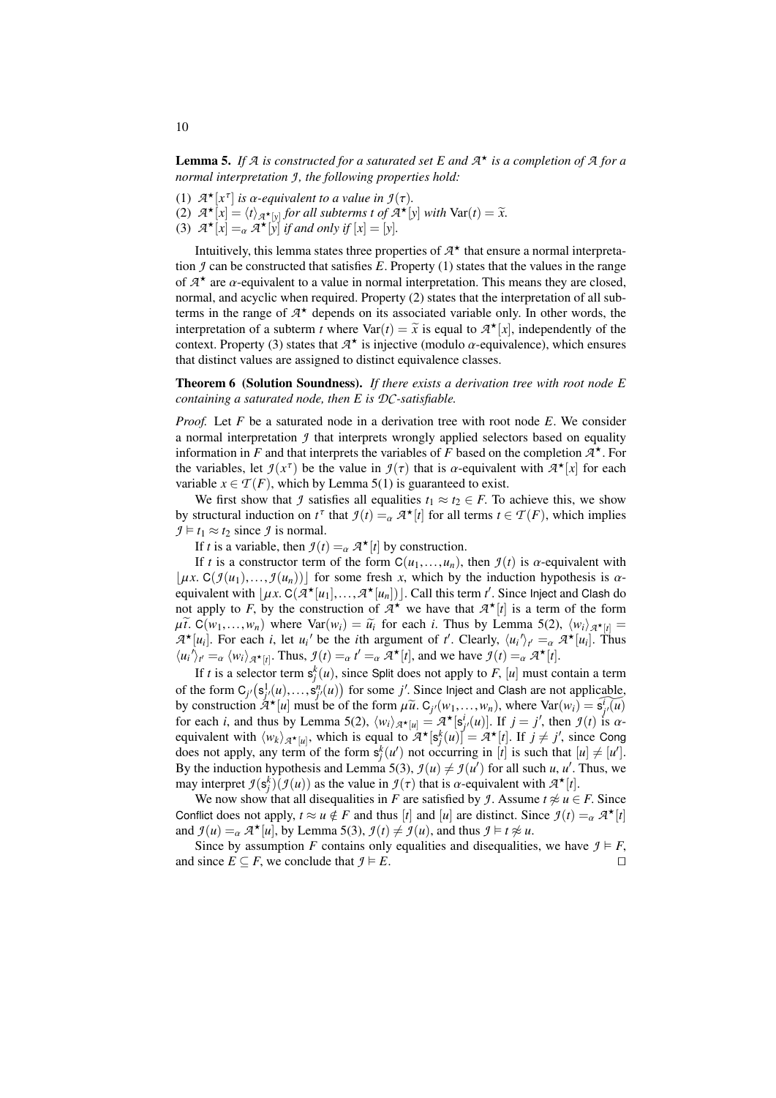<span id="page-9-0"></span>Lemma 5. *If A is constructed for a saturated set E and A* ? *is a completion of A for a normal interpretation J , the following properties hold:*

- (1)  $\mathcal{A}^{\star}[x^{\tau}]$
- (1)  $\mathcal{A}^{\star}[x^{\tau}]$  is  $\alpha$ -equivalent to a value in  $\mathcal{I}(\tau)$ .<br>
(2)  $\mathcal{A}^{\star}[x] = \langle t \rangle_{\mathcal{A}^{\star}[y]}$  for all subterms t of  $\mathcal{A}^{\star}[y]$  with  $\text{Var}(t) = \tilde{x}$ .<br>
(3)  $\mathcal{A}^{\star}[x] =_{\alpha} \mathcal{A}^{\star}[y]$  if and only if  $[x]$
- 

Intuitively, this lemma states three properties of  $A^*$  that ensure a normal interpretation *J* can be constructed that satisfies *E*. Property (1) states that the values in the range of  $A^*$  are  $\alpha$ -equivalent to a value in normal interpretation. This means they are closed, normal and acyclic when required. Property (2) states that the interpretation of all subnormal, and acyclic when required. Property (2) states that the interpretation of all subterms in the range of  $A^*$  depends on its associated variable only. In other words, the interpretation of a subterm *t* where  $\text{Var}(t) = \tilde{x}$  is equal to  $\mathcal{A}^{\star}[x]$ , independently of the context. Property (3) states that  $\mathcal{A}^{\star}$  is injective (modulo  $\alpha$  equivalence), which ensures context. Property (3) states that  $A^*$  is injective (modulo  $\alpha$ -equivalence), which ensures that distinct values are assigned to distinct equivalence classes that distinct values are assigned to distinct equivalence classes.

<span id="page-9-1"></span>Theorem 6 (Solution Soundness). *If there exists a derivation tree with root node E containing a saturated node, then E is DC-satisfiable.*

*Proof.* Let *F* be a saturated node in a derivation tree with root node *E*. We consider a normal interpretation *J* that interprets wrongly applied selectors based on equality information in *F* and that interprets the variables of *F* based on the completion  $A^*$ . For the variables, let  $\mathcal{I}(x^{\tau})$  be the value in  $\mathcal{I}(\tau)$  that is  $\alpha$ -equivalent with  $\mathcal{A}^{\star}[x]$  for each variable  $x \in \mathcal{T}(F)$  which by Lemma 5(1) is quaranteed to exist variable  $x \in \mathcal{T}(F)$ , which by Lemma [5\(](#page-9-0)1) is guaranteed to exist.

We first show that *J* satisfies all equalities  $t_1 \approx t_2 \in F$ . To achieve this, we show by structural induction on  $t^{\tau}$  that  $\mathcal{I}(t) =_{\alpha} \mathcal{A}^{\star}[t]$  for all terms  $t \in \mathcal{T}(F)$ , which implies  $\mathcal{I} \models t \sim \tau$  since  $\mathcal{I}$  is normal  $\mathcal{I} \models t_1 \approx t_2$  since  $\mathcal{I}$  is normal.

If *t* is a variable, then  $\mathcal{I}(t) = \alpha \mathcal{A}^{\star}[t]$  by construction.

If *t* is a constructor term of the form  $C(u_1,...,u_n)$ , then  $\mathcal{I}(t)$  is  $\alpha$ -equivalent with  $|\mu x$ . C( $\mathcal{I}(u_1),..., \mathcal{I}(u_n)|$ ) for some fresh *x*, which by the induction hypothesis is  $\alpha$ equivalent with  $[\mu x]$ . C( $\overline{A}^*[\mu_1],...,\overline{A}^*[\mu_n]]$ ). Call this term *t'*. Since Inject and Clash do not apply to *F* by the construction of  $\overline{A}^*$  we have that  $\overline{A}^*[\mu]$  is a term of the form not apply to *F*, by the construction of  $A^*$  we have that  $A^*[t]$  is a term of the form  $\mu\tilde{t}$ . C(*w*<sub>1</sub>,...,*w<sub>n</sub>*) where Var(*w<sub>i</sub>*) =  $\tilde{u}_i$  for each *i*. Thus by Lemma [5\(](#page-9-0)2),  $\langle w_i \rangle_{\mathcal{A}^*[\mu]} =$ <br> $\mathcal{A}^*[\mu]$ . For each *i* let  $\mu_i'$  be the *i*th argument of *t'* Clearly  $\langle \mu_i \rangle_{\mathcal{A}} = -\mathcal{A}^*$  $A^{\star}[u_i]$ . For each *i*, let  $u_i'$  be the *i*th argument of *t'*. Clearly,  $\langle u_i' \rangle_{t'} = \alpha A^{\star}[u_i]$ . Thus  $\langle u_i' \rangle_{t'} = \alpha \langle w_i \rangle_{\mathcal{A}^{\star}[t]}$ . Thus,  $\mathcal{I}(t) = \alpha t' = \alpha \mathcal{A}^{\star}[t]$ , and we have  $\mathcal{I}(t) = \alpha \mathcal{A}^{\star}[t]$ .

If *t* is a selector term  $s_j^k(u)$ , since Split does not apply to *F*, [*u*] must contain a term of the form  $C_j$ <sup>*(*s<sub>*j*</sub>/*(u)*,...,  $S_j^n$ *(u)*) for some *j'*. Since Inject and Clash are not applicable,<br>by construction  $Z^*$ *[u]* must be of the form  $U_i \tilde{U}$ ,  $C_i$  *(w)*, *w)* where  $Var(w_i) - \tilde{e}^T(u)$ </sup> by construction  $A^{\star}[u]$  must be of the form  $\mu \tilde{u}$ .  $C_{j'}(w_1,...,w_n)$ , where  $Var(w_i) = \hat{s}_{j'}^T(u)$ <br>for each *i* and thus by Lemma 5(2),  $(w_i)$ ,  $x_i = a^{\star}[s^i(u)]$ . If  $i = i'$  then  $g(t)$  is  $\alpha$ . for each *i*, and thus by Lemma [5\(](#page-9-0)2),  $\langle w_i \rangle_{\mathcal{A}^{\star}[u]} = \mathcal{A}^{\star}[s_j^i(u)]$ . If  $j = j'$ , then  $\mathcal{I}(t)$  is  $\alpha$ -<br>equivalent with  $\langle w_k \rangle_{\mathcal{A}^{\star}[u]}$ , which is equal to  $\mathcal{A}^{\star}[s_j^k(u)] = \mathcal{A}^{\star}[t]$ . If  $j \neq j'$ , sinc does not apply, any term of the form  $s_j^k(u')$  not occurring in [*t*] is such that  $[u] \neq [u']$ . By the induction hypothesis and Lemma [5\(](#page-9-0)3),  $\mathcal{I}(u) \neq \mathcal{I}(u')$  for all such *u*, *u'*. Thus, we may interpret  $\mathcal{I}(s_f^k)(\mathcal{I}(u))$  as the value in  $\mathcal{I}(\tau)$  that is  $\alpha$ -equivalent with  $\mathcal{A}^{\star}[t]$ .<br>We now show that all discouslities in *F* are satisfied by *I* Assume  $t \approx u \in$ 

We now show that all disequalities in *F* are satisfied by *J*. Assume  $t \not\approx u \in F$ . Since Conflict does not apply,  $t \approx u \notin F$  and thus [*t*] and [*u*] are distinct. Since  $\mathcal{I}(t) = \alpha \mathcal{A}^* [t]$ <br>and  $\mathcal{I}(u) = -\mathcal{A}^* [u]$  by Lemma 5(3)  $\mathcal{I}(t) \neq \mathcal{I}(u)$  and thus  $\mathcal{I} \models t \approx u$ and  $\mathcal{I}(u) =_{\alpha} \mathcal{A} \star [u]$ , by Lemma [5\(](#page-9-0)3),  $\mathcal{I}(t) \neq \mathcal{I}(u)$ , and thus  $\mathcal{I} \models t \not\approx u$ .<br>Since by assumption *E* contains only equalities and discountities

Since by assumption *F* contains only equalities and disequalities, we have  $\mathcal{I} \models F$ , and since *E* ⊆ *F*, we conclude that  $f \models E$ . □

10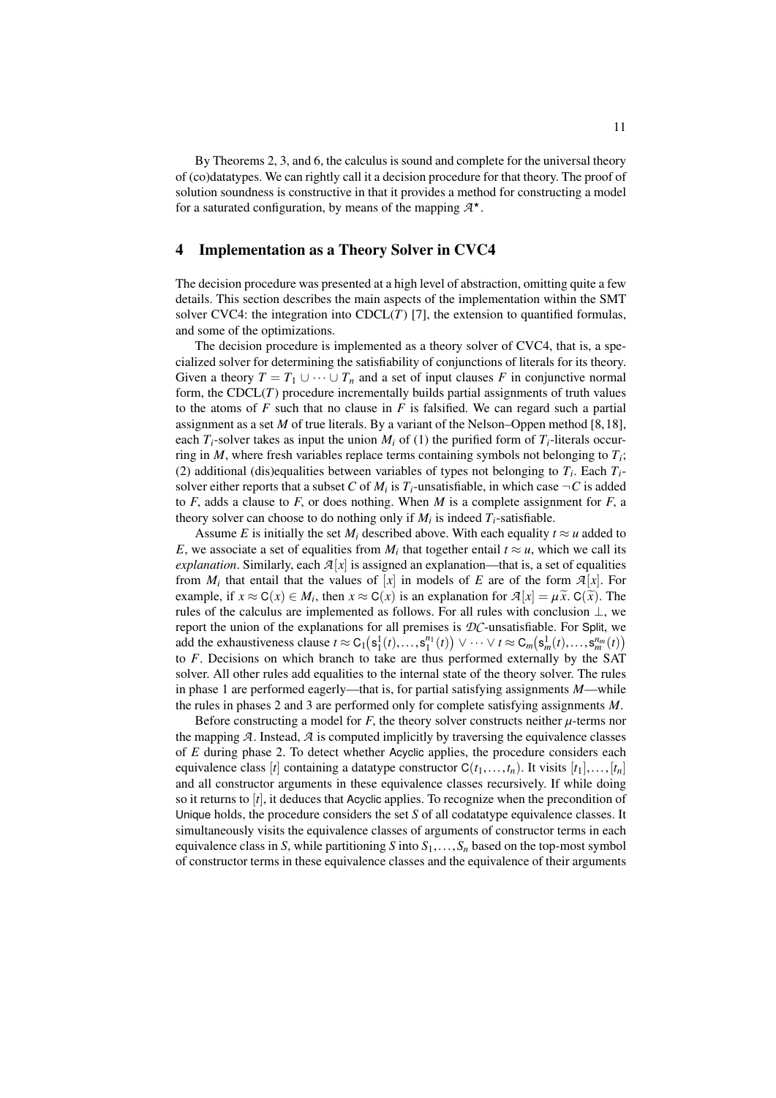By Theorems [2,](#page-6-0) [3,](#page-6-1) and [6,](#page-9-1) the calculus is sound and complete for the universal theory of (co)datatypes. We can rightly call it a decision procedure for that theory. The proof of solution soundness is constructive in that it provides a method for constructing a model for a saturated configuration, by means of the mapping *A* ?.

# <span id="page-10-0"></span>4 Implementation as a Theory Solver in CVC4

The decision procedure was presented at a high level of abstraction, omitting quite a few details. This section describes the main aspects of the implementation within the SMT solver CVC4: the integration into  $CDCL(T)$  [\[7\]](#page-14-16), the extension to quantified formulas, and some of the optimizations.

The decision procedure is implemented as a theory solver of CVC4, that is, a specialized solver for determining the satisfiability of conjunctions of literals for its theory. Given a theory  $T = T_1 \cup \cdots \cup T_n$  and a set of input clauses *F* in conjunctive normal form, the  $CDCL(T)$  procedure incrementally builds partial assignments of truth values to the atoms of *F* such that no clause in *F* is falsified. We can regard such a partial assignment as a set *M* of true literals. By a variant of the Nelson–Oppen method [\[8,](#page-14-17)[18\]](#page-14-3), each  $T_i$ -solver takes as input the union  $M_i$  of (1) the purified form of  $T_i$ -literals occurring in *M*, where fresh variables replace terms containing symbols not belonging to *T<sup>i</sup>* ; (2) additional (dis)equalities between variables of types not belonging to  $T_i$ . Each  $T_i$ solver either reports that a subset  $C$  of  $M_i$  is  $T_i$ -unsatisfiable, in which case  $\neg C$  is added to  $F$ , adds a clause to  $F$ , or does nothing. When  $M$  is a complete assignment for  $F$ , a theory solver can choose to do nothing only if  $M_i$  is indeed  $T_i$ -satisfiable.

Assume *E* is initially the set  $M_i$  described above. With each equality  $t \approx u$  added to *E*, we associate a set of equalities from  $M_i$  that together entail  $t \approx u$ , which we call its *explanation*. Similarly, each  $\mathcal{A}[x]$  is assigned an explanation—that is, a set of equalities from  $M_i$  that entail that the values of  $[x]$  in models of  $E$  are of the form  $\mathcal{A}[x]$ . For example, if  $x \approx C(x) \in M_i$ , then  $x \approx C(x)$  is an explanation for  $\mathcal{A}[x] = \mu \tilde{x}$ .  $C(\tilde{x})$ . The rules of the calculus are implemented as follows. For all rules with conclusion  $\perp$  we rules of the calculus are implemented as follows. For all rules with conclusion  $\perp$ , we report the union of the explanations for all premises is *DC*-unsatisfiable. For Split, we add the exhaustiveness clause  $t \approx C_1(s_1^1(t),...,s_1^{n_1}(t)) \vee \cdots \vee t \approx C_m(s_m^1(t),...,s_m^{n_m}(t))$ <br>to *F* Decisions on which branch to take are thus performed externally by the SAT to *F*. Decisions on which branch to take are thus performed externally by the SAT solver. All other rules add equalities to the internal state of the theory solver. The rules in phase 1 are performed eagerly—that is, for partial satisfying assignments *M*—while the rules in phases 2 and 3 are performed only for complete satisfying assignments *M*.

Before constructing a model for  $F$ , the theory solver constructs neither  $\mu$ -terms nor the mapping  $A$ . Instead,  $A$  is computed implicitly by traversing the equivalence classes of *E* during phase 2. To detect whether Acyclic applies, the procedure considers each equivalence class [*t*] containing a datatype constructor  $C(t_1,...,t_n)$ . It visits  $[t_1],...,[t_n]$ and all constructor arguments in these equivalence classes recursively. If while doing so it returns to [*t*], it deduces that Acyclic applies. To recognize when the precondition of Unique holds, the procedure considers the set *S* of all codatatype equivalence classes. It simultaneously visits the equivalence classes of arguments of constructor terms in each equivalence class in *S*, while partitioning *S* into  $S_1, \ldots, S_n$  based on the top-most symbol of constructor terms in these equivalence classes and the equivalence of their arguments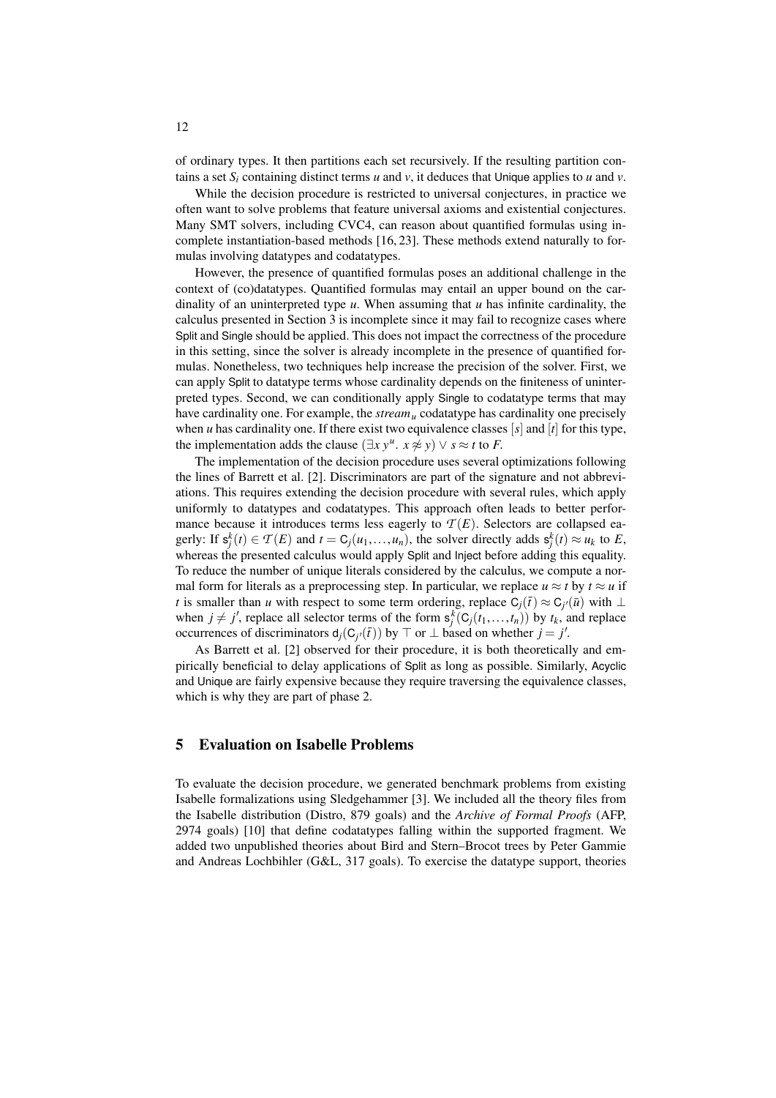of ordinary types. It then partitions each set recursively. If the resulting partition contains a set  $S_i$  containing distinct terms  $u$  and  $v$ , it deduces that Unique applies to  $u$  and  $v$ .

While the decision procedure is restricted to universal conjectures, in practice we often want to solve problems that feature universal axioms and existential conjectures. Many SMT solvers, including CVC4, can reason about quantified formulas using incomplete instantiation-based methods [\[16,](#page-14-18) [23\]](#page-14-19). These methods extend naturally to formulas involving datatypes and codatatypes.

However, the presence of quantified formulas poses an additional challenge in the context of (co)datatypes. Quantified formulas may entail an upper bound on the cardinality of an uninterpreted type *u*. When assuming that *u* has infinite cardinality, the calculus presented in Section [3](#page-3-0) is incomplete since it may fail to recognize cases where Split and Single should be applied. This does not impact the correctness of the procedure in this setting, since the solver is already incomplete in the presence of quantified formulas. Nonetheless, two techniques help increase the precision of the solver. First, we can apply Split to datatype terms whose cardinality depends on the finiteness of uninterpreted types. Second, we can conditionally apply Single to codatatype terms that may have cardinality one. For example, the *stream<sup>u</sup>* codatatype has cardinality one precisely when *u* has cardinality one. If there exist two equivalence classes [*s*] and [*t*] for this type, the implementation adds the clause  $(\exists x y^u, x \neq y) \lor s \approx t$  to *F*.<br>The implementation of the decision procedure uses caucral.

The implementation of the decision procedure uses several optimizations following the lines of Barrett et al. [\[2\]](#page-13-0). Discriminators are part of the signature and not abbreviations. This requires extending the decision procedure with several rules, which apply uniformly to datatypes and codatatypes. This approach often leads to better performance because it introduces terms less eagerly to  $\mathcal{T}(E)$ . Selectors are collapsed eagerly: If  $s_j^k(t) \in T(E)$  and  $t = C_j(u_1, \ldots, u_n)$ , the solver directly adds  $s_j^k(t) \approx u_k$  to *E*, whereas the presented calculus would apply Split and linest before adding this equality whereas the presented calculus would apply Split and Inject before adding this equality. To reduce the number of unique literals considered by the calculus, we compute a normal form for literals as a preprocessing step. In particular, we replace  $u \approx t$  by  $t \approx u$  if *t* is smaller than *u* with respect to some term ordering, replace  $C_j(\bar{t}) \approx C_{j'}(\bar{u})$  with  $\perp$ when  $j \neq j'$ , replace all selector terms of the form  $s_j^k(C_j(t_1,...,t_n))$  by  $t_k$ , and replace<br>occurrences of discriminators  $d(C_j(t))$  by  $\top$  or  $\top$  based on whether  $i - j'$ occurrences of discriminators  $d_j(C_{j'}(\bar{t}))$  by ⊤ or ⊥ based on whether *j* = *j'*.

As Barrett et al. [\[2\]](#page-13-0) observed for their procedure, it is both theoretically and empirically beneficial to delay applications of Split as long as possible. Similarly, Acyclic and Unique are fairly expensive because they require traversing the equivalence classes, which is why they are part of phase 2.

# <span id="page-11-0"></span>5 Evaluation on Isabelle Problems

To evaluate the decision procedure, we generated benchmark problems from existing Isabelle formalizations using Sledgehammer [\[3\]](#page-13-2). We included all the theory files from the Isabelle distribution (Distro, 879 goals) and the *Archive of Formal Proofs* (AFP, 2974 goals) [\[10\]](#page-14-20) that define codatatypes falling within the supported fragment. We added two unpublished theories about Bird and Stern–Brocot trees by Peter Gammie and Andreas Lochbihler (G&L, 317 goals). To exercise the datatype support, theories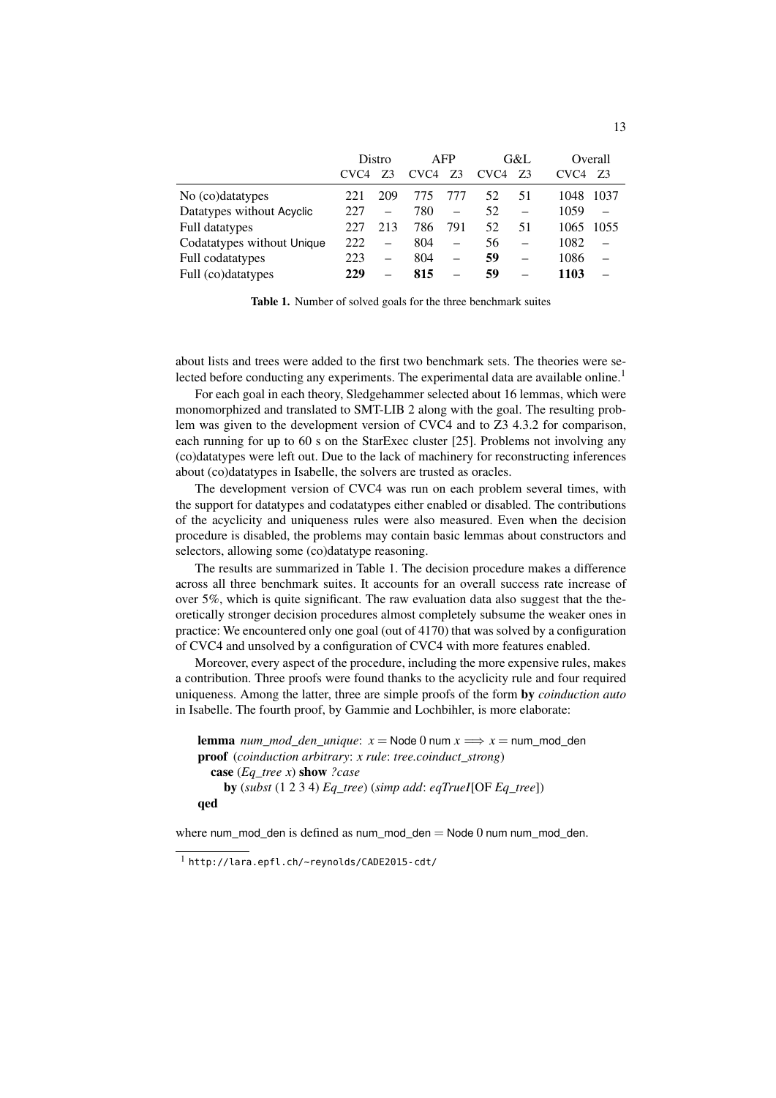|                            | Distro           |                   | <b>AFP</b>       |     | G&L              |          | Overall          |      |
|----------------------------|------------------|-------------------|------------------|-----|------------------|----------|------------------|------|
|                            | CVC <sub>4</sub> | 73                | CVC <sub>4</sub> | -73 | CVC <sub>4</sub> | -73      | CVC <sub>4</sub> | 73   |
| No (co)datatypes           | 221              | 209               | 775              | 777 | 52.              | 51       | 1048             | 1037 |
| Datatypes without Acyclic  | 227              |                   | 780              |     | 52               |          | 1059             |      |
| Full datatypes             | 227              | 213               | 786              | 791 | 52.              | 51       | 1065             | 1055 |
| Codatatypes without Unique | 222.             | $\qquad \qquad -$ | 804              |     | 56               | $\equiv$ | 1082             |      |
| Full codatatypes           | 223              | $\equiv$          | 804              |     | 59               |          | 1086             |      |
| Full (co)datatypes         | 229              |                   | 815              |     | 59               |          | 1103             |      |

<span id="page-12-1"></span>Table 1. Number of solved goals for the three benchmark suites

about lists and trees were added to the first two benchmark sets. The theories were se-lected before conducting any experiments. The experimental data are available online.<sup>[1](#page-12-0)</sup>

For each goal in each theory, Sledgehammer selected about 16 lemmas, which were monomorphized and translated to SMT-LIB 2 along with the goal. The resulting problem was given to the development version of CVC4 and to Z3 4.3.2 for comparison, each running for up to 60 s on the StarExec cluster [\[25\]](#page-14-21). Problems not involving any (co)datatypes were left out. Due to the lack of machinery for reconstructing inferences about (co)datatypes in Isabelle, the solvers are trusted as oracles.

The development version of CVC4 was run on each problem several times, with the support for datatypes and codatatypes either enabled or disabled. The contributions of the acyclicity and uniqueness rules were also measured. Even when the decision procedure is disabled, the problems may contain basic lemmas about constructors and selectors, allowing some (co)datatype reasoning.

The results are summarized in Table [1.](#page-12-1) The decision procedure makes a difference across all three benchmark suites. It accounts for an overall success rate increase of over 5%, which is quite significant. The raw evaluation data also suggest that the theoretically stronger decision procedures almost completely subsume the weaker ones in practice: We encountered only one goal (out of 4170) that was solved by a configuration of CVC4 and unsolved by a configuration of CVC4 with more features enabled.

Moreover, every aspect of the procedure, including the more expensive rules, makes a contribution. Three proofs were found thanks to the acyclicity rule and four required uniqueness. Among the latter, three are simple proofs of the form by *coinduction auto* in Isabelle. The fourth proof, by Gammie and Lochbihler, is more elaborate:

```
lemma num\_mod\_den\_unique: x = Node0 num x \implies x = num\_mod\_denproof (coinduction arbitrary: x rule: tree.coinduct_strong)
  case (Eq_tree x) show ?case
    by (subst (1 2 3 4) Eq_tree) (simp add: eqTrueI[OF Eq_tree])
qed
```
where num\_mod\_den is defined as num\_mod\_den = Node 0 num num\_mod\_den.

<span id="page-12-0"></span><sup>1</sup> <http://lara.epfl.ch/~reynolds/CADE2015-cdt/>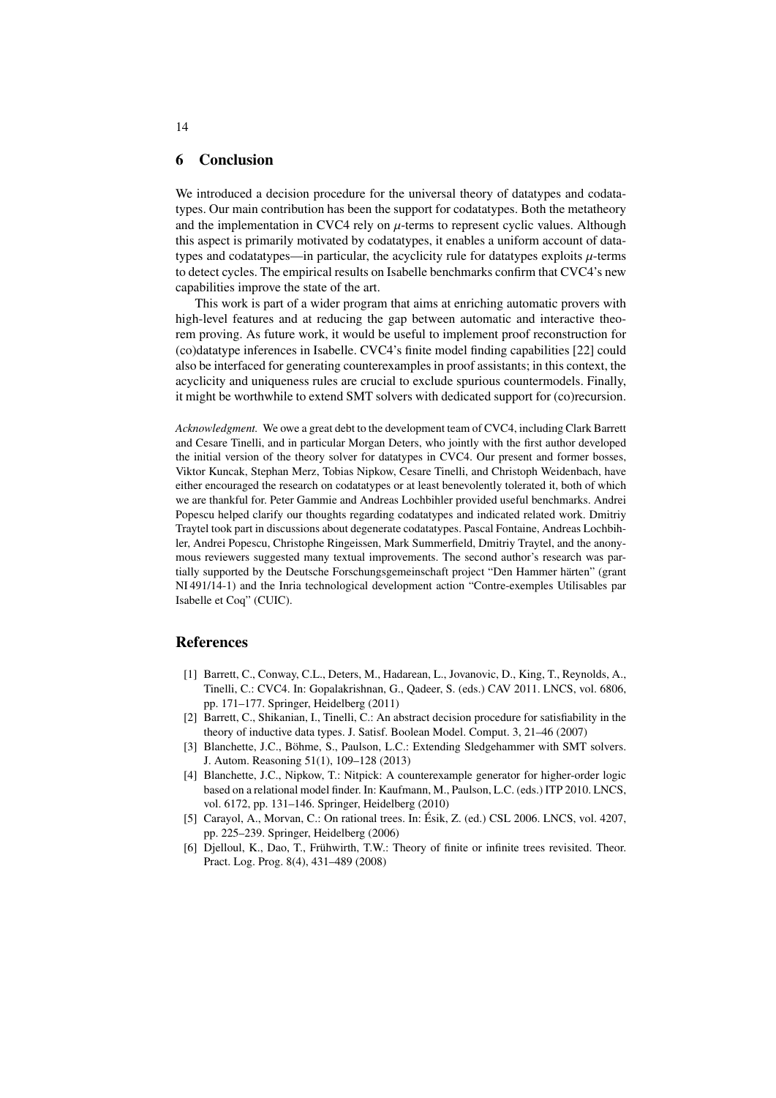#### 6 Conclusion

We introduced a decision procedure for the universal theory of datatypes and codatatypes. Our main contribution has been the support for codatatypes. Both the metatheory and the implementation in CVC4 rely on  $\mu$ -terms to represent cyclic values. Although this aspect is primarily motivated by codatatypes, it enables a uniform account of datatypes and codatatypes—in particular, the acyclicity rule for datatypes exploits  $\mu$ -terms to detect cycles. The empirical results on Isabelle benchmarks confirm that CVC4's new capabilities improve the state of the art.

This work is part of a wider program that aims at enriching automatic provers with high-level features and at reducing the gap between automatic and interactive theorem proving. As future work, it would be useful to implement proof reconstruction for (co)datatype inferences in Isabelle. CVC4's finite model finding capabilities [\[22\]](#page-14-5) could also be interfaced for generating counterexamples in proof assistants; in this context, the acyclicity and uniqueness rules are crucial to exclude spurious countermodels. Finally, it might be worthwhile to extend SMT solvers with dedicated support for (co)recursion.

*Acknowledgment.* We owe a great debt to the development team of CVC4, including Clark Barrett and Cesare Tinelli, and in particular Morgan Deters, who jointly with the first author developed the initial version of the theory solver for datatypes in CVC4. Our present and former bosses, Viktor Kuncak, Stephan Merz, Tobias Nipkow, Cesare Tinelli, and Christoph Weidenbach, have either encouraged the research on codatatypes or at least benevolently tolerated it, both of which we are thankful for. Peter Gammie and Andreas Lochbihler provided useful benchmarks. Andrei Popescu helped clarify our thoughts regarding codatatypes and indicated related work. Dmitriy Traytel took part in discussions about degenerate codatatypes. Pascal Fontaine, Andreas Lochbihler, Andrei Popescu, Christophe Ringeissen, Mark Summerfield, Dmitriy Traytel, and the anonymous reviewers suggested many textual improvements. The second author's research was partially supported by the Deutsche Forschungsgemeinschaft project "Den Hammer härten" (grant NI 491/14-1) and the Inria technological development action "Contre-exemples Utilisables par Isabelle et Coq" (CUIC).

#### References

- <span id="page-13-1"></span>[1] Barrett, C., Conway, C.L., Deters, M., Hadarean, L., Jovanovic, D., King, T., Reynolds, A., Tinelli, C.: CVC4. In: Gopalakrishnan, G., Qadeer, S. (eds.) CAV 2011. LNCS, vol. 6806, pp. 171–177. Springer, Heidelberg (2011)
- <span id="page-13-0"></span>[2] Barrett, C., Shikanian, I., Tinelli, C.: An abstract decision procedure for satisfiability in the theory of inductive data types. J. Satisf. Boolean Model. Comput. 3, 21–46 (2007)
- <span id="page-13-2"></span>[3] Blanchette, J.C., Böhme, S., Paulson, L.C.: Extending Sledgehammer with SMT solvers. J. Autom. Reasoning 51(1), 109–128 (2013)
- <span id="page-13-3"></span>[4] Blanchette, J.C., Nipkow, T.: Nitpick: A counterexample generator for higher-order logic based on a relational model finder. In: Kaufmann, M., Paulson, L.C. (eds.) ITP 2010. LNCS, vol. 6172, pp. 131–146. Springer, Heidelberg (2010)
- <span id="page-13-4"></span>[5] Carayol, A., Morvan, C.: On rational trees. In: Ésik, Z. (ed.) CSL 2006. LNCS, vol. 4207, pp. 225–239. Springer, Heidelberg (2006)
- <span id="page-13-5"></span>[6] Djelloul, K., Dao, T., Frühwirth, T.W.: Theory of finite or infinite trees revisited. Theor. Pract. Log. Prog. 8(4), 431–489 (2008)

14